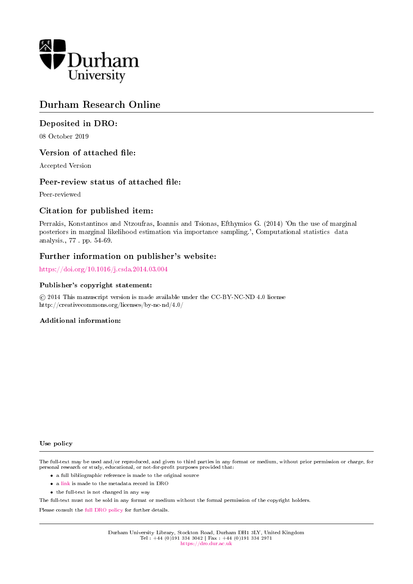

### Durham Research Online

### Deposited in DRO:

08 October 2019

#### Version of attached file:

Accepted Version

#### Peer-review status of attached file:

Peer-reviewed

### Citation for published item:

Perrakis, Konstantinos and Ntzoufras, Ioannis and Tsionas, Efthymios G. (2014) 'On the use of marginal posteriors in marginal likelihood estimation via importance sampling.', Computational statistics data analysis., 77 . pp. 54-69.

#### Further information on publisher's website:

<https://doi.org/10.1016/j.csda.2014.03.004>

#### Publisher's copyright statement:

 c 2014 This manuscript version is made available under the CC-BY-NC-ND 4.0 license http://creativecommons.org/licenses/by-nc-nd/4.0/

#### Additional information:

#### Use policy

The full-text may be used and/or reproduced, and given to third parties in any format or medium, without prior permission or charge, for personal research or study, educational, or not-for-profit purposes provided that:

- a full bibliographic reference is made to the original source
- a [link](http://dro.dur.ac.uk/29238/) is made to the metadata record in DRO
- the full-text is not changed in any way

The full-text must not be sold in any format or medium without the formal permission of the copyright holders.

Please consult the [full DRO policy](https://dro.dur.ac.uk/policies/usepolicy.pdf) for further details.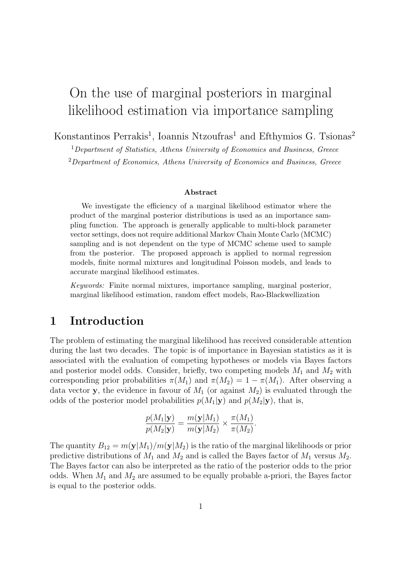# On the use of marginal posteriors in marginal likelihood estimation via importance sampling

Konstantinos Perrakis<sup>1</sup>, Ioannis Ntzoufras<sup>1</sup> and Efthymios G. Tsionas<sup>2</sup>

 $1$ Department of Statistics, Athens University of Economics and Business, Greece <sup>2</sup>Department of Economics, Athens University of Economics and Business, Greece

#### Abstract

We investigate the efficiency of a marginal likelihood estimator where the product of the marginal posterior distributions is used as an importance sampling function. The approach is generally applicable to multi-block parameter vector settings, does not require additional Markov Chain Monte Carlo (MCMC) sampling and is not dependent on the type of MCMC scheme used to sample from the posterior. The proposed approach is applied to normal regression models, finite normal mixtures and longitudinal Poisson models, and leads to accurate marginal likelihood estimates.

Keywords: Finite normal mixtures, importance sampling, marginal posterior, marginal likelihood estimation, random effect models, Rao-Blackwellization

### 1 Introduction

The problem of estimating the marginal likelihood has received considerable attention during the last two decades. The topic is of importance in Bayesian statistics as it is associated with the evaluation of competing hypotheses or models via Bayes factors and posterior model odds. Consider, briefly, two competing models  $M_1$  and  $M_2$  with corresponding prior probabilities  $\pi(M_1)$  and  $\pi(M_2) = 1 - \pi(M_1)$ . After observing a data vector y, the evidence in favour of  $M_1$  (or against  $M_2$ ) is evaluated through the odds of the posterior model probabilities  $p(M_1|\mathbf{y})$  and  $p(M_2|\mathbf{y})$ , that is,

$$
\frac{p(M_1|\mathbf{y})}{p(M_2|\mathbf{y})} = \frac{m(\mathbf{y}|M_1)}{m(\mathbf{y}|M_2)} \times \frac{\pi(M_1)}{\pi(M_2)}.
$$

The quantity  $B_{12} = m(\mathbf{y}|M_1)/m(\mathbf{y}|M_2)$  is the ratio of the marginal likelihoods or prior predictive distributions of  $M_1$  and  $M_2$  and is called the Bayes factor of  $M_1$  versus  $M_2$ . The Bayes factor can also be interpreted as the ratio of the posterior odds to the prior odds. When  $M_1$  and  $M_2$  are assumed to be equally probable a-priori, the Bayes factor is equal to the posterior odds.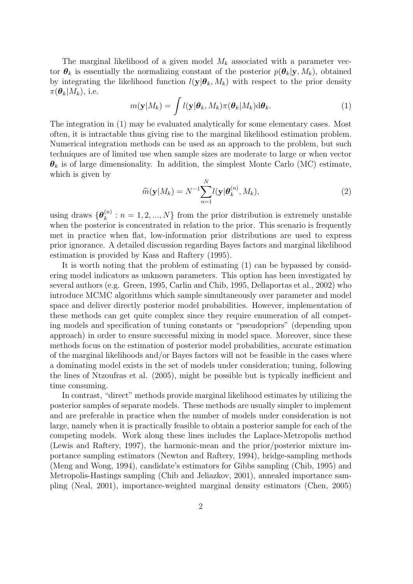The marginal likelihood of a given model  $M_k$  associated with a parameter vector  $\theta_k$  is essentially the normalizing constant of the posterior  $p(\theta_k|\mathbf{y}, M_k)$ , obtained by integrating the likelihood function  $l(\mathbf{y}|\boldsymbol{\theta}_k, M_k)$  with respect to the prior density  $\pi(\boldsymbol{\theta}_k|M_k)$ , i.e.

$$
m(\mathbf{y}|M_k) = \int l(\mathbf{y}|\boldsymbol{\theta}_k, M_k) \pi(\boldsymbol{\theta}_k|M_k) d\boldsymbol{\theta}_k.
$$
 (1)

The integration in (1) may be evaluated analytically for some elementary cases. Most often, it is intractable thus giving rise to the marginal likelihood estimation problem. Numerical integration methods can be used as an approach to the problem, but such techniques are of limited use when sample sizes are moderate to large or when vector  $\theta_k$  is of large dimensionality. In addition, the simplest Monte Carlo (MC) estimate, which is given by

$$
\widehat{m}(\mathbf{y}|M_k) = N^{-1} \sum_{n=1}^{N} l(\mathbf{y}|\boldsymbol{\theta}_k^{(n)}, M_k),
$$
\n(2)

using draws  $\{\boldsymbol{\theta}_k^{(n)}\}$  $\{k}^{(n)}$ :  $n = 1, 2, ..., N$  from the prior distribution is extremely unstable when the posterior is concentrated in relation to the prior. This scenario is frequently met in practice when flat, low-information prior distributions are used to express prior ignorance. A detailed discussion regarding Bayes factors and marginal likelihood estimation is provided by Kass and Raftery (1995).

It is worth noting that the problem of estimating (1) can be bypassed by considering model indicators as unknown parameters. This option has been investigated by several authors (e.g. Green, 1995, Carlin and Chib, 1995, Dellaportas et al., 2002) who introduce MCMC algorithms which sample simultaneously over parameter and model space and deliver directly posterior model probabilities. However, implementation of these methods can get quite complex since they require enumeration of all competing models and specification of tuning constants or "pseudopriors" (depending upon approach) in order to ensure successful mixing in model space. Moreover, since these methods focus on the estimation of posterior model probabilities, accurate estimation of the marginal likelihoods and/or Bayes factors will not be feasible in the cases where a dominating model exists in the set of models under consideration; tuning, following the lines of Ntzoufras et al. (2005), might be possible but is typically inefficient and time consuming.

In contrast, "direct" methods provide marginal likelihood estimates by utilizing the posterior samples of separate models. These methods are usually simpler to implement and are preferable in practice when the number of models under consideration is not large, namely when it is practically feasible to obtain a posterior sample for each of the competing models. Work along these lines includes the Laplace-Metropolis method (Lewis and Raftery, 1997), the harmonic-mean and the prior/posterior mixture importance sampling estimators (Newton and Raftery, 1994), bridge-sampling methods (Meng and Wong, 1994), candidate's estimators for Gibbs sampling (Chib, 1995) and Metropolis-Hastings sampling (Chib and Jeliazkov, 2001), annealed importance sampling (Neal, 2001), importance-weighted marginal density estimators (Chen, 2005)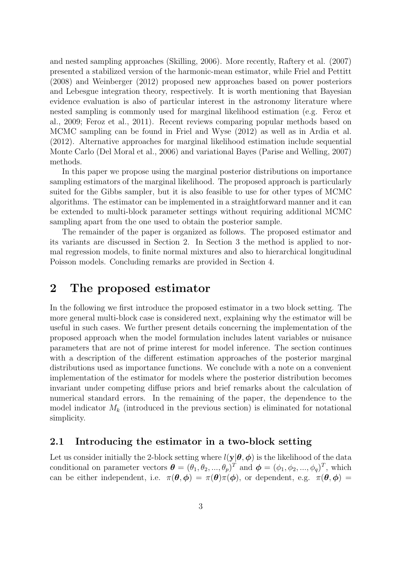and nested sampling approaches (Skilling, 2006). More recently, Raftery et al. (2007) presented a stabilized version of the harmonic-mean estimator, while Friel and Pettitt (2008) and Weinberger (2012) proposed new approaches based on power posteriors and Lebesgue integration theory, respectively. It is worth mentioning that Bayesian evidence evaluation is also of particular interest in the astronomy literature where nested sampling is commonly used for marginal likelihood estimation (e.g. Feroz et al., 2009; Feroz et al., 2011). Recent reviews comparing popular methods based on MCMC sampling can be found in Friel and Wyse (2012) as well as in Ardia et al. (2012). Alternative approaches for marginal likelihood estimation include sequential Monte Carlo (Del Moral et al., 2006) and variational Bayes (Parise and Welling, 2007) methods.

In this paper we propose using the marginal posterior distributions on importance sampling estimators of the marginal likelihood. The proposed approach is particularly suited for the Gibbs sampler, but it is also feasible to use for other types of MCMC algorithms. The estimator can be implemented in a straightforward manner and it can be extended to multi-block parameter settings without requiring additional MCMC sampling apart from the one used to obtain the posterior sample.

The remainder of the paper is organized as follows. The proposed estimator and its variants are discussed in Section 2. In Section 3 the method is applied to normal regression models, to finite normal mixtures and also to hierarchical longitudinal Poisson models. Concluding remarks are provided in Section 4.

### 2 The proposed estimator

In the following we first introduce the proposed estimator in a two block setting. The more general multi-block case is considered next, explaining why the estimator will be useful in such cases. We further present details concerning the implementation of the proposed approach when the model formulation includes latent variables or nuisance parameters that are not of prime interest for model inference. The section continues with a description of the different estimation approaches of the posterior marginal distributions used as importance functions. We conclude with a note on a convenient implementation of the estimator for models where the posterior distribution becomes invariant under competing diffuse priors and brief remarks about the calculation of numerical standard errors. In the remaining of the paper, the dependence to the model indicator  $M_k$  (introduced in the previous section) is eliminated for notational simplicity.

#### 2.1 Introducing the estimator in a two-block setting

Let us consider initially the 2-block setting where  $l(y|\theta, \phi)$  is the likelihood of the data conditional on parameter vectors  $\boldsymbol{\theta} = (\theta_1, \theta_2, ..., \theta_p)^T$  and  $\boldsymbol{\phi} = (\phi_1, \phi_2, ..., \phi_q)^T$ , which can be either independent, i.e.  $\pi(\theta, \phi) = \pi(\theta)\pi(\phi)$ , or dependent, e.g.  $\pi(\theta, \phi) =$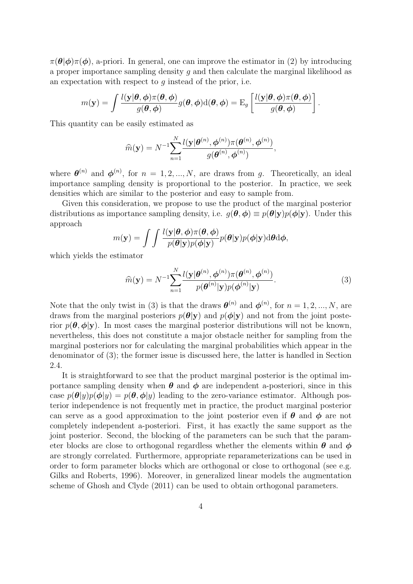$\pi(\theta|\phi)\pi(\phi)$ , a-priori. In general, one can improve the estimator in (2) by introducing a proper importance sampling density g and then calculate the marginal likelihood as an expectation with respect to  $q$  instead of the prior, i.e.

$$
m(\mathbf{y}) = \int \frac{l(\mathbf{y}|\boldsymbol{\theta}, \boldsymbol{\phi})\pi(\boldsymbol{\theta}, \boldsymbol{\phi})}{g(\boldsymbol{\theta}, \boldsymbol{\phi})} g(\boldsymbol{\theta}, \boldsymbol{\phi}) d(\boldsymbol{\theta}, \boldsymbol{\phi}) = \mathrm{E}_g \left[ \frac{l(\mathbf{y}|\boldsymbol{\theta}, \boldsymbol{\phi})\pi(\boldsymbol{\theta}, \boldsymbol{\phi})}{g(\boldsymbol{\theta}, \boldsymbol{\phi})} \right]
$$

This quantity can be easily estimated as

$$
\widehat{m}(\mathbf{y}) = N^{-1} \sum_{n=1}^{N} \frac{l(\mathbf{y}|\boldsymbol{\theta}^{(n)}, \boldsymbol{\phi}^{(n)})\pi(\boldsymbol{\theta}^{(n)}, \boldsymbol{\phi}^{(n)})}{g(\boldsymbol{\theta}^{(n)}, \boldsymbol{\phi}^{(n)})},
$$

where  $\boldsymbol{\theta}^{(n)}$  and  $\boldsymbol{\phi}^{(n)}$ , for  $n = 1, 2, ..., N$ , are draws from g. Theoretically, an ideal importance sampling density is proportional to the posterior. In practice, we seek densities which are similar to the posterior and easy to sample from.

Given this consideration, we propose to use the product of the marginal posterior distributions as importance sampling density, i.e.  $g(\theta, \phi) \equiv p(\theta|\mathbf{y})p(\phi|\mathbf{y})$ . Under this approach

$$
m(\mathbf{y}) = \int \int \frac{l(\mathbf{y}|\boldsymbol{\theta}, \boldsymbol{\phi})\pi(\boldsymbol{\theta}, \boldsymbol{\phi})}{p(\boldsymbol{\theta}|\mathbf{y})p(\boldsymbol{\phi}|\mathbf{y})} p(\boldsymbol{\theta}|\mathbf{y})p(\boldsymbol{\phi}|\mathbf{y}) d\boldsymbol{\theta} d\boldsymbol{\phi},
$$

which yields the estimator

$$
\widehat{m}(\mathbf{y}) = N^{-1} \sum_{n=1}^{N} \frac{l(\mathbf{y}|\boldsymbol{\theta}^{(n)}, \boldsymbol{\phi}^{(n)})\pi(\boldsymbol{\theta}^{(n)}, \boldsymbol{\phi}^{(n)})}{p(\boldsymbol{\theta}^{(n)}|\mathbf{y})p(\boldsymbol{\phi}^{(n)}|\mathbf{y})}.
$$
\n(3)

.

Note that the only twist in (3) is that the draws  $\boldsymbol{\theta}^{(n)}$  and  $\boldsymbol{\phi}^{(n)}$ , for  $n = 1, 2, ..., N$ , are draws from the marginal posteriors  $p(\theta|\mathbf{y})$  and  $p(\phi|\mathbf{y})$  and not from the joint posterior  $p(\theta, \phi | \mathbf{y})$ . In most cases the marginal posterior distributions will not be known, nevertheless, this does not constitute a major obstacle neither for sampling from the marginal posteriors nor for calculating the marginal probabilities which appear in the denominator of (3); the former issue is discussed here, the latter is handled in Section 2.4.

It is straightforward to see that the product marginal posterior is the optimal importance sampling density when  $\theta$  and  $\phi$  are independent a-posteriori, since in this case  $p(\theta|y)p(\phi|y) = p(\theta, \phi|y)$  leading to the zero-variance estimator. Although posterior independence is not frequently met in practice, the product marginal posterior can serve as a good approximation to the joint posterior even if  $\theta$  and  $\phi$  are not completely independent a-posteriori. First, it has exactly the same support as the joint posterior. Second, the blocking of the parameters can be such that the parameter blocks are close to orthogonal regardless whether the elements within  $\theta$  and  $\phi$ are strongly correlated. Furthermore, appropriate reparameterizations can be used in order to form parameter blocks which are orthogonal or close to orthogonal (see e.g. Gilks and Roberts, 1996). Moreover, in generalized linear models the augmentation scheme of Ghosh and Clyde (2011) can be used to obtain orthogonal parameters.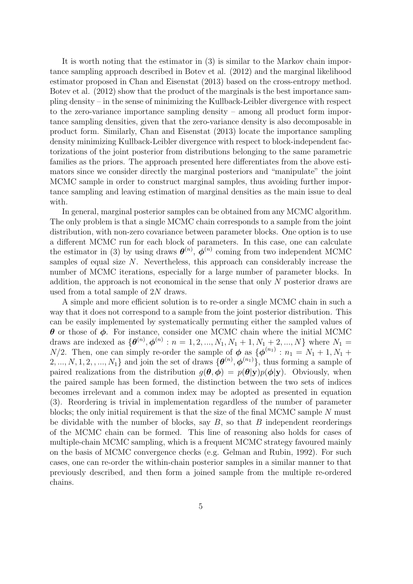It is worth noting that the estimator in (3) is similar to the Markov chain importance sampling approach described in Botev et al. (2012) and the marginal likelihood estimator proposed in Chan and Eisenstat (2013) based on the cross-entropy method. Botev et al. (2012) show that the product of the marginals is the best importance sampling density – in the sense of minimizing the Kullback-Leibler divergence with respect to the zero-variance importance sampling density – among all product form importance sampling densities, given that the zero-variance density is also decomposable in product form. Similarly, Chan and Eisenstat (2013) locate the importance sampling density minimizing Kullback-Leibler divergence with respect to block-independent factorizations of the joint posterior from distributions belonging to the same parametric families as the priors. The approach presented here differentiates from the above estimators since we consider directly the marginal posteriors and "manipulate" the joint MCMC sample in order to construct marginal samples, thus avoiding further importance sampling and leaving estimation of marginal densities as the main issue to deal with.

In general, marginal posterior samples can be obtained from any MCMC algorithm. The only problem is that a single MCMC chain corresponds to a sample from the joint distribution, with non-zero covariance between parameter blocks. One option is to use a different MCMC run for each block of parameters. In this case, one can calculate the estimator in (3) by using draws  $\boldsymbol{\theta}^{(n)}$ ,  $\boldsymbol{\phi}^{(n)}$  coming from two independent MCMC samples of equal size  $N$ . Nevertheless, this approach can considerably increase the number of MCMC iterations, especially for a large number of parameter blocks. In addition, the approach is not economical in the sense that only N posterior draws are used from a total sample of 2N draws.

A simple and more efficient solution is to re-order a single MCMC chain in such a way that it does not correspond to a sample from the joint posterior distribution. This can be easily implemented by systematically permuting either the sampled values of  $\theta$  or those of  $\phi$ . For instance, consider one MCMC chain where the initial MCMC draws are indexed as  $\{\theta^{(n)}, \phi^{(n)} : n = 1, 2, ..., N_1, N_1 + 1, N_1 + 2, ..., N\}$  where  $N_1 =$  $N/2$ . Then, one can simply re-order the sample of  $\phi$  as  $\{\phi^{(n_1)}: n_1 = N_1 + 1, N_1 + \dots \}$  $2, ..., N, 1, 2, ..., N<sub>1</sub>$  and join the set of draws  $\{\boldsymbol{\theta}^{(n)}, \boldsymbol{\phi}^{(n_1)}\}$ , thus forming a sample of paired realizations from the distribution  $g(\theta, \phi) = p(\theta|\mathbf{y})p(\phi|\mathbf{y})$ . Obviously, when the paired sample has been formed, the distinction between the two sets of indices becomes irrelevant and a common index may be adopted as presented in equation (3). Reordering is trivial in implementation regardless of the number of parameter blocks; the only initial requirement is that the size of the final MCMC sample N must be dividable with the number of blocks, say  $B$ , so that  $B$  independent reorderings of the MCMC chain can be formed. This line of reasoning also holds for cases of multiple-chain MCMC sampling, which is a frequent MCMC strategy favoured mainly on the basis of MCMC convergence checks (e.g. Gelman and Rubin, 1992). For such cases, one can re-order the within-chain posterior samples in a similar manner to that previously described, and then form a joined sample from the multiple re-ordered chains.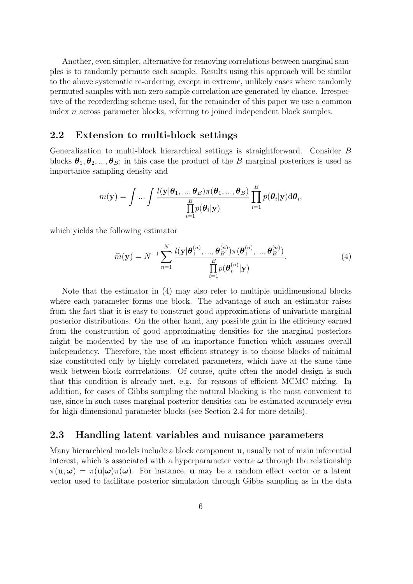Another, even simpler, alternative for removing correlations between marginal samples is to randomly permute each sample. Results using this approach will be similar to the above systematic re-ordering, except in extreme, unlikely cases where randomly permuted samples with non-zero sample correlation are generated by chance. Irrespective of the reorderding scheme used, for the remainder of this paper we use a common index n across parameter blocks, referring to joined independent block samples.

#### 2.2 Extension to multi-block settings

Generalization to multi-block hierarchical settings is straightforward. Consider B blocks  $\theta_1, \theta_2, ..., \theta_B$ ; in this case the product of the B marginal posteriors is used as importance sampling density and

$$
m(\mathbf{y}) = \int \ldots \int \frac{l(\mathbf{y}|\boldsymbol{\theta}_1, ..., \boldsymbol{\theta}_B)\pi(\boldsymbol{\theta}_1, ..., \boldsymbol{\theta}_B)}{\prod_{i=1}^B p(\boldsymbol{\theta}_i|\mathbf{y})} \prod_{i=1}^B p(\boldsymbol{\theta}_i|\mathbf{y}) \mathrm{d}\boldsymbol{\theta}_i,
$$

which yields the following estimator

$$
\widehat{m}(\mathbf{y}) = N^{-1} \sum_{n=1}^{N} \frac{l(\mathbf{y}|\boldsymbol{\theta}_{1}^{(n)},...,\boldsymbol{\theta}_{B}^{(n)})\pi(\boldsymbol{\theta}_{1}^{(n)},...,\boldsymbol{\theta}_{B}^{(n)})}{\prod_{i=1}^{B} p(\boldsymbol{\theta}_{i}^{(n)}|\mathbf{y})}.
$$
(4)

Note that the estimator in (4) may also refer to multiple unidimensional blocks where each parameter forms one block. The advantage of such an estimator raises from the fact that it is easy to construct good approximations of univariate marginal posterior distributions. On the other hand, any possible gain in the efficiency earned from the construction of good approximating densities for the marginal posteriors might be moderated by the use of an importance function which assumes overall independency. Therefore, the most efficient strategy is to choose blocks of minimal size constituted only by highly correlated parameters, which have at the same time weak between-block corrrelations. Of course, quite often the model design is such that this condition is already met, e.g. for reasons of efficient MCMC mixing. In addition, for cases of Gibbs sampling the natural blocking is the most convenient to use, since in such cases marginal posterior densities can be estimated accurately even for high-dimensional parameter blocks (see Section 2.4 for more details).

#### 2.3 Handling latent variables and nuisance parameters

Many hierarchical models include a block component u, usually not of main inferential interest, which is associated with a hyperparameter vector  $\omega$  through the relationship  $\pi(\mathbf{u},\boldsymbol{\omega}) = \pi(\mathbf{u}|\boldsymbol{\omega})\pi(\boldsymbol{\omega}).$  For instance, **u** may be a random effect vector or a latent vector used to facilitate posterior simulation through Gibbs sampling as in the data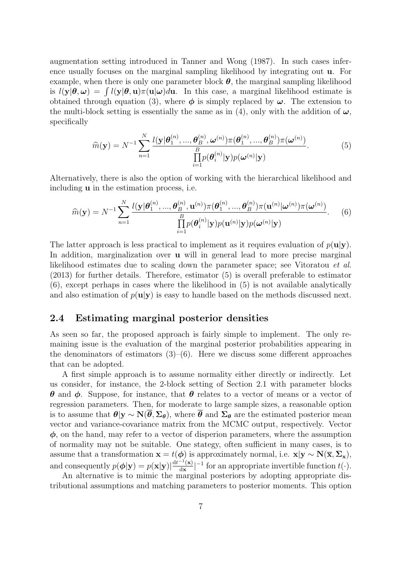augmentation setting introduced in Tanner and Wong (1987). In such cases inference usually focuses on the marginal sampling likelihood by integrating out u. For example, when there is only one parameter block  $\theta$ , the marginal sampling likelihood is  $l(\mathbf{y}|\boldsymbol{\theta}, \boldsymbol{\omega}) = \int l(\mathbf{y}|\boldsymbol{\theta}, \mathbf{u}) \pi(\mathbf{u}|\boldsymbol{\omega})d\mathbf{u}$ . In this case, a marginal likelihood estimate is obtained through equation (3), where  $\phi$  is simply replaced by  $\omega$ . The extension to the multi-block setting is essentially the same as in (4), only with the addition of  $\omega$ , specifically

$$
\widehat{m}(\mathbf{y}) = N^{-1} \sum_{n=1}^{N} \frac{l(\mathbf{y}|\boldsymbol{\theta}_{1}^{(n)},...,\boldsymbol{\theta}_{B}^{(n)},\boldsymbol{\omega}^{(n)})\pi(\boldsymbol{\theta}_{1}^{(n)},...,\boldsymbol{\theta}_{B}^{(n)})\pi(\boldsymbol{\omega}^{(n)})}{\prod_{i=1}^{B} p(\boldsymbol{\theta}_{i}^{(n)}|\mathbf{y})p(\boldsymbol{\omega}^{(n)}|\mathbf{y})}.
$$
(5)

Alternatively, there is also the option of working with the hierarchical likelihood and including u in the estimation process, i.e.

$$
\widehat{m}(\mathbf{y}) = N^{-1} \sum_{n=1}^{N} \frac{l(\mathbf{y}|\boldsymbol{\theta}_{1}^{(n)},...,\boldsymbol{\theta}_{B}^{(n)},\mathbf{u}^{(n)})\pi(\boldsymbol{\theta}_{1}^{(n)},...,\boldsymbol{\theta}_{B}^{(n)})\pi(\mathbf{u}^{(n)}|\boldsymbol{\omega}^{(n)})\pi(\boldsymbol{\omega}^{(n)})}{\prod_{i=1}^{B} p(\boldsymbol{\theta}_{i}^{(n)}|\mathbf{y})p(\mathbf{u}^{(n)}|\mathbf{y})p(\boldsymbol{\omega}^{(n)}|\mathbf{y})}.
$$
 (6)

The latter approach is less practical to implement as it requires evaluation of  $p(\mathbf{u}|\mathbf{y})$ . In addition, marginalization over **u** will in general lead to more precise marginal likelihood estimates due to scaling down the parameter space; see Vitoratou et al. (2013) for further details. Therefore, estimator (5) is overall preferable to estimator (6), except perhaps in cases where the likelihood in (5) is not available analytically and also estimation of  $p(\mathbf{u}|\mathbf{y})$  is easy to handle based on the methods discussed next.

#### 2.4 Estimating marginal posterior densities

As seen so far, the proposed approach is fairly simple to implement. The only remaining issue is the evaluation of the marginal posterior probabilities appearing in the denominators of estimators  $(3)$ – $(6)$ . Here we discuss some different approaches that can be adopted.

A first simple approach is to assume normality either directly or indirectly. Let us consider, for instance, the 2-block setting of Section 2.1 with parameter blocks **θ** and φ. Suppose, for instance, that **θ** relates to a vector of means or a vector of regression parameters. Then, for moderate to large sample sizes, a reasonable option is to assume that  $\theta|y \sim N(\bar{\theta}, \Sigma_{\theta})$ , where  $\bar{\theta}$  and  $\Sigma_{\theta}$  are the estimated posterior mean vector and variance-covariance matrix from the MCMC output, respectively. Vector  $\phi$ , on the hand, may refer to a vector of disperion parameters, where the assumption of normality may not be suitable. One stategy, often sufficient in many cases, is to assume that a transformation  $\mathbf{x} = t(\boldsymbol{\phi})$  is approximately normal, i.e.  $\mathbf{x}|\mathbf{y} \sim \mathbf{N}(\overline{\mathbf{x}}, \Sigma_{\mathbf{x}})$ , and consequently  $p(\boldsymbol{\phi}|\mathbf{y}) = p(\mathbf{x}|\mathbf{y}) \left| \frac{d t^{-1}(\mathbf{x})}{d \mathbf{x}} \right|$  $\frac{1-\mathbf{x}}{\mathbf{dx}}$  |<sup>-1</sup> for an appropriate invertible function  $t(\cdot)$ .

An alternative is to mimic the marginal posteriors by adopting appropriate distributional assumptions and matching parameters to posterior moments. This option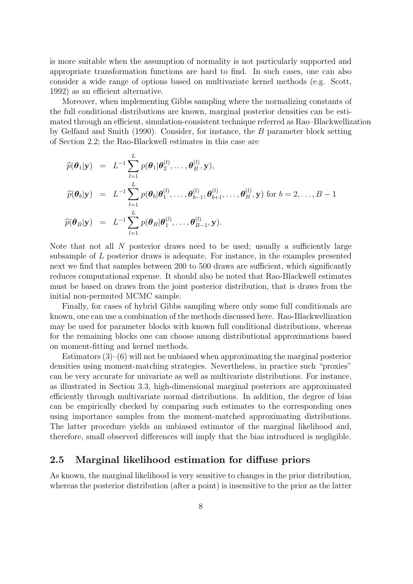is more suitable when the assumption of normality is not particularly supported and appropriate transformation functions are hard to find. In such cases, one can also consider a wide range of options based on multivariate kernel methods (e.g. Scott, 1992) as an efficient alternative.

Moreover, when implementing Gibbs sampling where the normalizing constants of the full conditional distributions are known, marginal posterior densities can be estimated through an efficient, simulation-consistent technique referred as Rao–Blackwellization by Gelfand and Smith (1990). Consider, for instance, the B parameter block setting of Section 2.2; the Rao-Blackwell estimates in this case are

$$
\widehat{p}(\theta_1|\mathbf{y}) = L^{-1} \sum_{l=1}^{L} p(\theta_1|\theta_2^{(l)}, \dots, \theta_B^{(l)}, \mathbf{y}),
$$
  
\n
$$
\widehat{p}(\theta_b|\mathbf{y}) = L^{-1} \sum_{l=1}^{L} p(\theta_b|\theta_1^{(l)}, \dots, \theta_{b-1}^{(l)}, \theta_{b+1}^{(l)}, \dots, \theta_B^{(l)}, \mathbf{y}) \text{ for } b = 2, \dots, B-1
$$
  
\n
$$
\widehat{p}(\theta_B|\mathbf{y}) = L^{-1} \sum_{l=1}^{L} p(\theta_B|\theta_1^{(l)}, \dots, \theta_{B-1}^{(l)}, \mathbf{y}).
$$

Note that not all N posterior draws need to be used; usually a sufficiently large subsample of L posterior draws is adequate. For instance, in the examples presented next we find that samples between 200 to 500 draws are sufficient, which significantly reduces computational expense. It should also be noted that Rao-Blackwell estimates must be based on draws from the joint posterior distribution, that is draws from the initial non-permuted MCMC sample.

Finally, for cases of hybrid Gibbs sampling where only some full conditionals are known, one can use a combination of the methods discussed here. Rao-Blackwellization may be used for parameter blocks with known full conditional distributions, whereas for the remaining blocks one can choose among distributional approximations based on moment-fitting and kernel methods.

Estimators  $(3)$ – $(6)$  will not be unbiased when approximating the marginal posterior densities using moment-matching strategies. Nevertheless, in practice such "proxies" can be very accurate for univariate as well as multivariate distributions. For instance, as illustrated in Section 3.3, high-dimensional marginal posteriors are approximated efficiently through multivariate normal distributions. In addition, the degree of bias can be empirically checked by comparing such estimates to the corresponding ones using importance samples from the moment-matched approximating distributions. The latter procedure yields an unbiased estimator of the marginal likelihood and, therefore, small observed differences will imply that the bias introduced is negligible.

### 2.5 Marginal likelihood estimation for diffuse priors

As known, the marginal likelihood is very sensitive to changes in the prior distribution, whereas the posterior distribution (after a point) is insensitive to the prior as the latter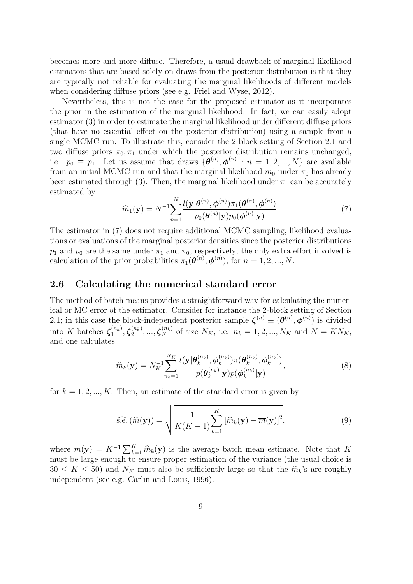becomes more and more diffuse. Therefore, a usual drawback of marginal likelihood estimators that are based solely on draws from the posterior distribution is that they are typically not reliable for evaluating the marginal likelihoods of different models when considering diffuse priors (see e.g. Friel and Wyse, 2012).

Nevertheless, this is not the case for the proposed estimator as it incorporates the prior in the estimation of the marginal likelihood. In fact, we can easily adopt estimator (3) in order to estimate the marginal likelihood under different diffuse priors (that have no essential effect on the posterior distribution) using a sample from a single MCMC run. To illustrate this, consider the 2-block setting of Section 2.1 and two diffuse priors  $\pi_0$ ,  $\pi_1$  under which the posterior distribution remains unchanged, i.e.  $p_0 \equiv p_1$ . Let us assume that draws  $\{\boldsymbol{\theta}^{(n)}, \boldsymbol{\phi}^{(n)} : n = 1, 2, ..., N\}$  are available from an initial MCMC run and that the marginal likelihood  $m_0$  under  $\pi_0$  has already been estimated through (3). Then, the marginal likelihood under  $\pi_1$  can be accurately estimated by

$$
\widehat{m}_1(\mathbf{y}) = N^{-1} \sum_{n=1}^N \frac{l(\mathbf{y}|\boldsymbol{\theta}^{(n)}, \boldsymbol{\phi}^{(n)}) \pi_1(\boldsymbol{\theta}^{(n)}, \boldsymbol{\phi}^{(n)})}{p_0(\boldsymbol{\theta}^{(n)}|\mathbf{y}) p_0(\boldsymbol{\phi}^{(n)}|\mathbf{y})}.
$$
\n(7)

The estimator in (7) does not require additional MCMC sampling, likelihood evaluations or evaluations of the marginal posterior densities since the posterior distributions  $p_1$  and  $p_0$  are the same under  $\pi_1$  and  $\pi_0$ , respectively; the only extra effort involved is calculation of the prior probabilities  $\pi_1(\boldsymbol{\theta}^{(n)}, \boldsymbol{\phi}^{(n)})$ , for  $n = 1, 2, ..., N$ .

#### 2.6 Calculating the numerical standard error

The method of batch means provides a straightforward way for calculating the numerical or MC error of the estimator. Consider for instance the 2-block setting of Section 2.1; in this case the block-independent posterior sample  $\boldsymbol{\zeta}^{(n)} \equiv (\boldsymbol{\theta}^{(n)}, \boldsymbol{\phi}^{(n)})$  is divided into K batches  $\zeta_1^{(n_k)}$  $\zeta_1^{(n_k)}, \boldsymbol{\zeta}_2^{(n_k)}$  $\mathcal{L}_{2}^{(n_{k})},...,\mathcal{L}_{K}^{(n_{k})}$  of size  $N_{K}$ , i.e.  $n_{k}=1,2,...,N_{K}$  and  $N=KN_{K}$ , and one calculates

$$
\widehat{m}_k(\mathbf{y}) = N_K^{-1} \sum_{n_k=1}^{N_K} \frac{l(\mathbf{y}|\boldsymbol{\theta}_k^{(n_k)}, \boldsymbol{\phi}_k^{(n_k)})\pi(\boldsymbol{\theta}_k^{(n_k)}, \boldsymbol{\phi}_k^{(n_k)})}{p(\boldsymbol{\theta}_k^{(n_k)}|\mathbf{y})p(\boldsymbol{\phi}_k^{(n_k)}|\mathbf{y})},
$$
\n(8)

for  $k = 1, 2, ..., K$ . Then, an estimate of the standard error is given by

$$
\widehat{\text{s.e.}}\left(\widehat{m}(\mathbf{y})\right) = \sqrt{\frac{1}{K(K-1)}\sum_{k=1}^{K} \left[\widehat{m}_k(\mathbf{y}) - \overline{m}(\mathbf{y})\right]^2},\tag{9}
$$

where  $\overline{m}(\mathbf{y}) = K^{-1} \sum_{k=1}^{K} \widehat{m}_k(\mathbf{y})$  is the average batch mean estimate. Note that K<br>must be large enough to ensure proper estimation of the variance (the usual choice is must be large enough to ensure proper estimation of the variance (the usual choice is  $30 \leq K \leq 50$  and  $N_K$  must also be sufficiently large so that the  $\hat{m}_k$ 's are roughly independent (see e.g. Carlin and Louis, 1996).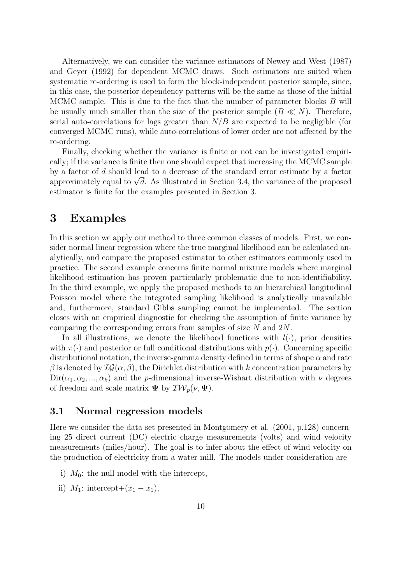Alternatively, we can consider the variance estimators of Newey and West (1987) and Geyer (1992) for dependent MCMC draws. Such estimators are suited when systematic re-ordering is used to form the block-independent posterior sample, since, in this case, the posterior dependency patterns will be the same as those of the initial MCMC sample. This is due to the fact that the number of parameter blocks B will be usually much smaller than the size of the posterior sample  $(B \ll N)$ . Therefore, serial auto-correlations for lags greater than  $N/B$  are expected to be negligible (for converged MCMC runs), while auto-correlations of lower order are not affected by the re-ordering.

Finally, checking whether the variance is finite or not can be investigated empirically; if the variance is finite then one should expect that increasing the MCMC sample by a factor of d should lead to a decrease of the standard error estimate by a factor by a factor of *d* should lead to a decrease of the standard error estimate by a factor approximately equal to  $\sqrt{d}$ . As illustrated in Section 3.4, the variance of the proposed estimator is finite for the examples presented in Section 3.

### 3 Examples

In this section we apply our method to three common classes of models. First, we consider normal linear regression where the true marginal likelihood can be calculated analytically, and compare the proposed estimator to other estimators commonly used in practice. The second example concerns finite normal mixture models where marginal likelihood estimation has proven particularly problematic due to non-identifiability. In the third example, we apply the proposed methods to an hierarchical longitudinal Poisson model where the integrated sampling likelihood is analytically unavailable and, furthermore, standard Gibbs sampling cannot be implemented. The section closes with an empirical diagnostic for checking the assumption of finite variance by comparing the corresponding errors from samples of size N and 2N.

In all illustrations, we denote the likelihood functions with  $l(\cdot)$ , prior densities with  $\pi(\cdot)$  and posterior or full conditional distributions with  $p(\cdot)$ . Concerning specific distributional notation, the inverse-gamma density defined in terms of shape  $\alpha$  and rate β is denoted by  $I\mathcal{G}(\alpha, \beta)$ , the Dirichlet distribution with k concentration parameters by  $Dir(\alpha_1, \alpha_2, ..., \alpha_k)$  and the *p*-dimensional inverse-Wishart distribution with  $\nu$  degrees of freedom and scale matrix  $\Psi$  by  $\mathcal{IW}_p(\nu, \Psi)$ .

#### 3.1 Normal regression models

Here we consider the data set presented in Montgomery et al. (2001, p.128) concerning 25 direct current (DC) electric charge measurements (volts) and wind velocity measurements (miles/hour). The goal is to infer about the effect of wind velocity on the production of electricity from a water mill. The models under consideration are

- i)  $M_0$ : the null model with the intercept,
- ii)  $M_1$ : intercept+ $(x_1 \overline{x}_1)$ ,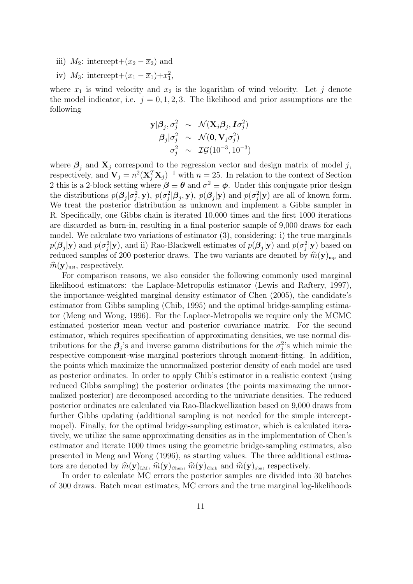- iii)  $M_2$ : intercept+ $(x_2 \overline{x}_2)$  and
- iv)  $M_3$ : intercept+ $(x_1 \overline{x}_1) + x_1^2$ ,

where  $x_1$  is wind velocity and  $x_2$  is the logarithm of wind velocity. Let j denote the model indicator, i.e.  $j = 0, 1, 2, 3$ . The likelihood and prior assumptions are the following

$$
\begin{array}{rcl} \mathbf{y}|\boldsymbol{\beta}_j,\sigma_j^2 &\sim& \mathcal{N}(\mathbf{X}_j\boldsymbol{\beta}_j,\boldsymbol{I}\sigma_j^2) \\ \boldsymbol{\beta}_j|\sigma_j^2 &\sim& \mathcal{N}(\mathbf{0},\mathbf{V}_j\sigma_j^2) \\ \sigma_j^2 &\sim& \mathcal{IG}(10^{-3},10^{-3}) \end{array}
$$

where  $\beta_i$  and  $\mathbf{X}_j$  correspond to the regression vector and design matrix of model j, respectively, and  $V_j = n^2 (\mathbf{X}_j^T \mathbf{X}_j)^{-1}$  with  $n = 25$ . In relation to the context of Section 2 this is a 2-block setting where  $\beta \equiv \theta$  and  $\sigma^2 \equiv \phi$ . Under this conjugate prior design the distributions  $p(\beta_j|\sigma_j^2, \mathbf{y}), p(\sigma_j^2|\beta_j, \mathbf{y}), p(\beta_j|\mathbf{y})$  and  $p(\sigma_j^2|\mathbf{y})$  are all of known form. We treat the posterior distribution as unknown and implement a Gibbs sampler in R. Specifically, one Gibbs chain is iterated 10,000 times and the first 1000 iterations are discarded as burn-in, resulting in a final posterior sample of 9,000 draws for each model. We calculate two variations of estimator (3), considering: i) the true marginals  $p(\mathcal{B}_j|\mathbf{y})$  and  $p(\sigma_j^2|\mathbf{y})$ , and ii) Rao-Blackwell estimates of  $p(\mathcal{B}_j|\mathbf{y})$  and  $p(\sigma_j^2|\mathbf{y})$  based on reduced samples of 200 posterior draws. The two variants are denoted by  $\hat{m}(\mathbf{y})_{mp}$  and  $\widehat{m}(\mathbf{y})_{\text{RB}}$ , respectively.

For comparison reasons, we also consider the following commonly used marginal likelihood estimators: the Laplace-Metropolis estimator (Lewis and Raftery, 1997), the importance-weighted marginal density estimator of Chen (2005), the candidate's estimator from Gibbs sampling (Chib, 1995) and the optimal bridge-sampling estimator (Meng and Wong, 1996). For the Laplace-Metropolis we require only the MCMC estimated posterior mean vector and posterior covariance matrix. For the second estimator, which requires specification of approximating densities, we use normal distributions for the  $\beta_j$ 's and inverse gamma distributions for the  $\sigma_j^2$ 's which mimic the respective component-wise marginal posteriors through moment-fitting. In addition, the points which maximize the unnormalized posterior density of each model are used as posterior ordinates. In order to apply Chib's estimator in a realistic context (using reduced Gibbs sampling) the posterior ordinates (the points maximazing the unnormalized posterior) are decomposed according to the univariate densities. The reduced posterior ordinates are calculated via Rao-Blackwellization based on 9,000 draws from further Gibbs updating (additional sampling is not needed for the simple interceptmopel). Finally, for the optimal bridge-sampling estimator, which is calculated iteratively, we utilize the same approximating densities as in the implementation of Chen's estimator and iterate 1000 times using the geometric bridge-sampling estimates, also presented in Meng and Wong (1996), as starting values. The three additional estimators are denoted by  $\hat{m}(\mathbf{y})_{\text{\tiny{LM}}}, \hat{m}(\mathbf{y})_{\text{\tiny{Chen}}}, \hat{m}(\mathbf{y})_{\text{\tiny{Chib}}}$  and  $\hat{m}(\mathbf{y})_{\text{\tiny{obs}}},$  respectively.

In order to calculate MC errors the posterior samples are divided into 30 batches of 300 draws. Batch mean estimates, MC errors and the true marginal log-likelihoods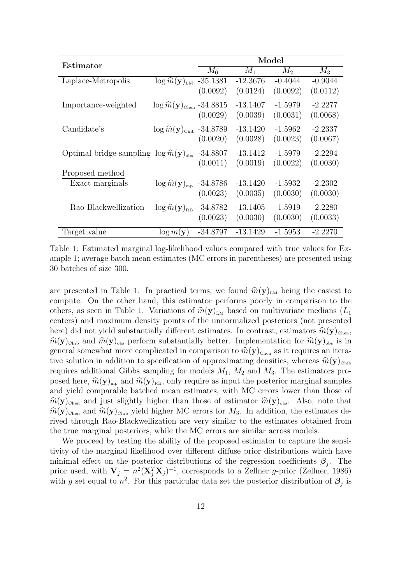| Estimator                                                |                                                       | Model      |            |           |           |
|----------------------------------------------------------|-------------------------------------------------------|------------|------------|-----------|-----------|
|                                                          |                                                       | $M_0$      | $M_1$      | $M_2$     | $M_3$     |
| Laplace-Metropolis                                       | $\log \hat{m}(\mathbf{y})_{LM}$ -35.1381              |            | $-12.3676$ | $-0.4044$ | $-0.9044$ |
|                                                          |                                                       | (0.0092)   | (0.0124)   | (0.0092)  | (0.0112)  |
| Importance-weighted                                      | $\log \widehat{m}(\mathbf{y})_{\text{Chen}}$ -34.8815 |            | $-13.1407$ | $-1.5979$ | $-2.2277$ |
|                                                          |                                                       | (0.0029)   | (0.0039)   | (0.0031)  | (0.0068)  |
| Candidate's                                              | $\log \widehat{m}(\mathbf{y})_{\text{Chib}}$ -34.8789 |            | $-13.1420$ | $-1.5962$ | $-2.2337$ |
|                                                          |                                                       | (0.0020)   | (0.0028)   | (0.0023)  | (0.0067)  |
| Optimal bridge-sampling $\log \hat{m}(\mathbf{y})_{obs}$ |                                                       | $-34.8807$ | $-13.1412$ | $-1.5979$ | $-2.2294$ |
|                                                          |                                                       | (0.0011)   | (0.0019)   | (0.0022)  | (0.0030)  |
| Proposed method                                          |                                                       |            |            |           |           |
| Exact marginals                                          | $\log \hat{m}(\mathbf{y})_{\text{mp}}$ -34.8786       |            | $-13.1420$ | $-1.5932$ | $-2.2302$ |
|                                                          |                                                       | (0.0023)   | (0.0035)   | (0.0030)  | (0.0030)  |
| Rao-Blackwellization                                     | $\log \hat{m}(\mathbf{y})_{\text{RB}}$ -34.8782       |            | $-13.1405$ | $-1.5919$ | $-2.2280$ |
|                                                          |                                                       | (0.0023)   | (0.0030)   | (0.0030)  | (0.0033)  |
| Target value                                             | $\log m(\mathbf{y})$                                  | $-34.8797$ | $-13.1429$ | $-1.5953$ | $-2.2270$ |

Table 1: Estimated marginal log-likelihood values compared with true values for Example 1; average batch mean estimates (MC errors in parentheses) are presented using 30 batches of size 300.

are presented in Table 1. In practical terms, we found  $\hat{m}(\mathbf{y})_{LM}$  being the easiest to compute. On the other hand, this estimator performs poorly in comparison to the others, as seen in Table 1. Variations of  $\hat{m}(\mathbf{y})_{\text{LM}}$  based on multivariate medians  $(L_1)$ centers) and maximum density points of the unnormalized posteriors (not presented here) did not yield substantially different estimates. In contrast, estimators  $\hat{m}(\mathbf{y})_{\text{Chen}}$ ,  $\hat{m}(\mathbf{y})_{\text{Chib}}$  and  $\hat{m}(\mathbf{y})_{\text{obs}}$  perform substantially better. Implementation for  $\hat{m}(\mathbf{y})_{\text{obs}}$  is in general somewhat more complicated in comparison to  $\hat{m}(\mathbf{y})_{\text{Chen}}$  as it requires an iterative solution in addition to specification of approximating densities, whereas  $\hat{m}(\mathbf{y})_{\text{Chib}}$ requires additional Gibbs sampling for models  $M_1$ ,  $M_2$  and  $M_3$ . The estimators proposed here,  $\hat{m}(\mathbf{y})_{mp}$  and  $\hat{m}(\mathbf{y})_{RB}$ , only require as input the posterior marginal samples and yield comparable batched mean estimates, with MC errors lower than those of  $\widehat{m}(\mathbf{y})_{\text{Chen}}$  and just slightly higher than those of estimator  $\widehat{m}(\mathbf{y})_{\text{obs}}$ . Also, note that  $\widehat{m}(\mathbf{y})_{\text{Chen}}$  and  $\widehat{m}(\mathbf{y})_{\text{Chib}}$  yield higher MC errors for  $M_3$ . In addition, the estimates derived through Rao-Blackwellization are very similar to the estimates obtained from the true marginal posteriors, while the MC errors are similar across models.

We proceed by testing the ability of the proposed estimator to capture the sensitivity of the marginal likelihood over different diffuse prior distributions which have minimal effect on the posterior distributions of the regression coefficients  $\beta_j$ . The prior used, with  $V_j = n^2 (X_j^T X_j)^{-1}$ , corresponds to a Zellner g-prior (Zellner, 1986) with g set equal to  $n^2$ . For this particular data set the posterior distribution of  $\beta_j$  is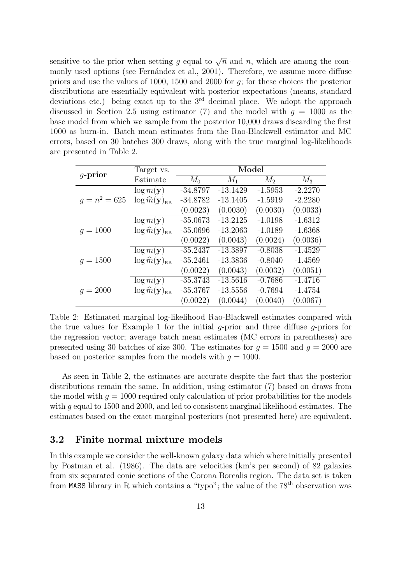sensitive to the prior when setting g equal to  $\sqrt{n}$  and n, which are among the commonly used options (see Fernández et al., 2001). Therefore, we assume more diffuse priors and use the values of 1000, 1500 and 2000 for g; for these choices the posterior distributions are essentially equivalent with posterior expectations (means, standard deviations etc.) being exact up to the  $3<sup>rd</sup>$  decimal place. We adopt the approach discussed in Section 2.5 using estimator (7) and the model with  $g = 1000$  as the base model from which we sample from the posterior 10,000 draws discarding the first 1000 as burn-in. Batch mean estimates from the Rao-Blackwell estimator and MC errors, based on 30 batches 300 draws, along with the true marginal log-likelihoods are presented in Table 2.

| $q$ -prior      | Target vs.                                       | Model      |            |           |           |  |
|-----------------|--------------------------------------------------|------------|------------|-----------|-----------|--|
|                 | Estimate                                         | $M_0$      | $M_1$      | $M_2$     | $M_3$     |  |
|                 | $\log m(\mathbf{y})$                             | $-34.8797$ | $-13.1429$ | $-1.5953$ | $-2.2270$ |  |
| $q = n^2 = 625$ | $\log \widehat{m}(\mathbf{y})_{\text{\tiny RB}}$ | $-34.8782$ | $-13.1405$ | $-1.5919$ | $-2.2280$ |  |
|                 |                                                  | (0.0023)   | (0.0030)   | (0.0030)  | (0.0033)  |  |
|                 | $\log m(\mathbf{y})$                             | $-35.0673$ | $-13.2125$ | $-1.0198$ | $-1.6312$ |  |
| $q = 1000$      | $\log \widehat{m}(\mathbf{y})_{\text{\tiny RB}}$ | $-35.0696$ | $-13.2063$ | $-1.0189$ | $-1.6368$ |  |
|                 |                                                  | (0.0022)   | (0.0043)   | (0.0024)  | (0.0036)  |  |
| $q = 1500$      | $\log m(\mathbf{y})$                             | $-35.2437$ | $-13.3897$ | $-0.8038$ | $-1.4529$ |  |
|                 | $\log \widehat{m}(\mathbf{y})_{\text{\tiny RB}}$ | $-35.2461$ | $-13.3836$ | $-0.8040$ | $-1.4569$ |  |
|                 |                                                  | (0.0022)   | (0.0043)   | (0.0032)  | (0.0051)  |  |
| $q = 2000$      | $\log m(\mathbf{y})$                             | $-35.3743$ | $-13.5616$ | $-0.7686$ | $-1.4716$ |  |
|                 | $\log \widehat{m}(\mathbf{y})_{\text{\tiny RB}}$ | $-35.3767$ | $-13.5556$ | $-0.7694$ | $-1.4754$ |  |
|                 |                                                  | (0.0022)   | (0.0044)   | (0.0040)  | (0.0067)  |  |

Table 2: Estimated marginal log-likelihood Rao-Blackwell estimates compared with the true values for Example 1 for the initial g-prior and three diffuse g-priors for the regression vector; average batch mean estimates (MC errors in parentheses) are presented using 30 batches of size 300. The estimates for  $q = 1500$  and  $q = 2000$  are based on posterior samples from the models with  $q = 1000$ .

As seen in Table 2, the estimates are accurate despite the fact that the posterior distributions remain the same. In addition, using estimator (7) based on draws from the model with  $g = 1000$  required only calculation of prior probabilities for the models with g equal to 1500 and 2000, and led to consistent marginal likelihood estimates. The estimates based on the exact marginal posteriors (not presented here) are equivalent.

### 3.2 Finite normal mixture models

In this example we consider the well-known galaxy data which where initially presented by Postman et al. (1986). The data are velocities (km's per second) of 82 galaxies from six separated conic sections of the Corona Borealis region. The data set is taken from MASS library in R which contains a "typo"; the value of the  $78<sup>th</sup>$  observation was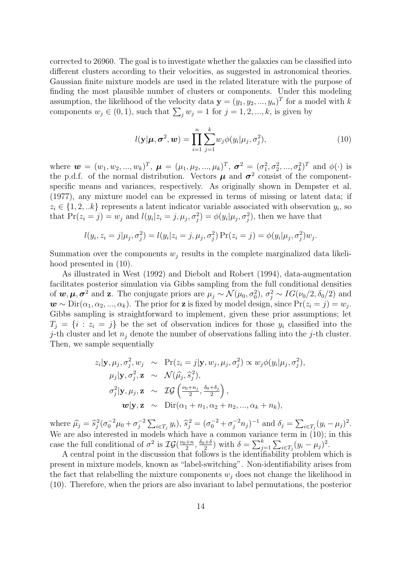corrected to 26960. The goal is to investigate whether the galaxies can be classified into different clusters according to their velocities, as suggested in astronomical theories. Gaussian finite mixture models are used in the related literature with the purpose of finding the most plausible number of clusters or components. Under this modeling assumption, the likelihood of the velocity data  $\mathbf{y} = (y_1, y_2, ..., y_n)^T$  for a model with k components  $w_j \in (0, 1)$ , such that  $\sum_j w_j = 1$  for  $j = 1, 2, ..., k$ , is given by

$$
l(\mathbf{y}|\boldsymbol{\mu}, \boldsymbol{\sigma}^2, \boldsymbol{w}) = \prod_{i=1}^n \sum_{j=1}^k w_j \phi(y_i | \mu_j, \sigma_j^2),
$$
\n(10)

where  $\mathbf{w} = (w_1, w_2, ..., w_k)^T$ ,  $\mathbf{\mu} = (\mu_1, \mu_2, ..., \mu_k)^T$ ,  $\mathbf{\sigma}^2 = (\sigma_1^2, \sigma_2^2, ..., \sigma_k^2)^T$  and  $\phi(\cdot)$  is the p.d.f. of the normal distribution. Vectors  $\mu$  and  $\sigma^2$  consist of the componentspecific means and variances, respectively. As originally shown in Dempster et al. (1977), any mixture model can be expressed in terms of missing or latent data; if  $z_i \in \{1, 2, \ldots k\}$  represents a latent indicator variable associated with observation  $y_i$ , so that  $Pr(z_i = j) = w_j$  and  $l(y_i | z_i = j, \mu_j, \sigma_j^2) = \phi(y_i | \mu_j, \sigma_j^2)$ , then we have that

$$
l(y_i, z_i = j | \mu_j, \sigma_j^2) = l(y_i | z_i = j, \mu_j, \sigma_j^2) \Pr(z_i = j) = \phi(y_i | \mu_j, \sigma_j^2) w_j.
$$

Summation over the components  $w_i$  results in the complete marginalized data likelihood presented in (10).

As illustrated in West (1992) and Diebolt and Robert (1994), data-augmentation facilitates posterior simulation via Gibbs sampling from the full conditional densities of  $w, \mu, \sigma^2$  and z. The conjugate priors are  $\mu_j \sim \mathcal{N}(\mu_0, \sigma_0^2), \sigma_j^2 \sim IG(\nu_0/2, \delta_0/2)$  and  $w \sim \text{Dir}(\alpha_1, \alpha_2, ..., \alpha_k)$ . The prior for **z** is fixed by model design, since  $\Pr(z_i = j) = w_j$ . Gibbs sampling is straightforward to implement, given these prior assumptions; let  $T_i = \{i : z_i = j\}$  be the set of observation indices for those  $y_i$  classified into the j-th cluster and let  $n_j$  denote the number of observations falling into the j-th cluster. Then, we sample sequentially

$$
z_i | \mathbf{y}, \mu_j, \sigma_j^2, w_j \sim \Pr(z_i = j | \mathbf{y}, w_j, \mu_j, \sigma_j^2) \propto w_j \phi(y_i | \mu_j, \sigma_j^2),
$$
  
\n
$$
\mu_j | \mathbf{y}, \sigma_j^2, \mathbf{z} \sim \mathcal{N}(\hat{\mu}_j, \hat{s}_j^2),
$$
  
\n
$$
\sigma_j^2 | \mathbf{y}, \mu_j, \mathbf{z} \sim \mathcal{IG}\left(\frac{\nu_0 + n_j}{2}, \frac{\delta_0 + \delta_j}{2}\right),
$$
  
\n
$$
\mathbf{w} | \mathbf{y}, \mathbf{z} \sim \text{Dir}(\alpha_1 + n_1, \alpha_2 + n_2, ..., \alpha_k + n_k),
$$

where  $\hat{\mu}_j = \hat{s}_j^2 (\sigma_0^{-2} \mu_0 + \sigma_j^{-2})$  $\int_{j}^{-2} \sum_{i \in T_j} y_i$ ,  $\hat{s}_j^2 = (\sigma_0^{-2} + \sigma_j^{-2} n_j)^{-1}$  and  $\delta_j = \sum_{i \in T_j} (y_i - \mu_j)^2$ . We are also interested in models which have a common variance term in (10); in this case the full conditional of  $\sigma^2$  is  $\mathcal{IG}(\frac{\nu_0+n}{2})$  $\frac{+n}{2}, \frac{\delta_0+\delta}{2}$  $\frac{1+\delta}{2}$ ) with  $\delta = \sum_{j=1}^k \sum_{i \in T_j} (y_i - \mu_j)^2$ .

A central point in the discussion that follows is the identifiability problem which is present in mixture models, known as "label-switching". Non-identifiability arises from the fact that relabelling the mixture components  $w_i$  does not change the likelihood in (10). Therefore, when the priors are also invariant to label permutations, the posterior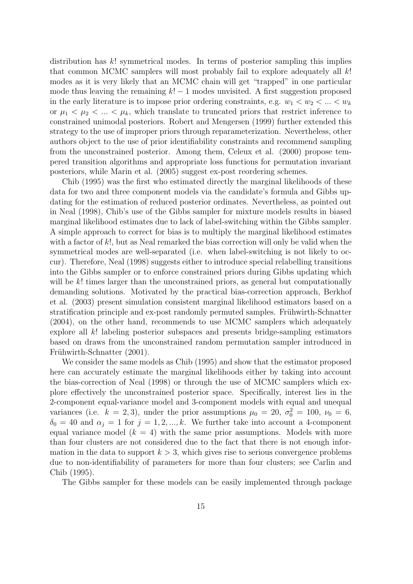distribution has  $k!$  symmetrical modes. In terms of posterior sampling this implies that common MCMC samplers will most probably fail to explore adequately all  $k!$ modes as it is very likely that an MCMC chain will get "trapped" in one particular mode thus leaving the remaining  $k! - 1$  modes unvisited. A first suggestion proposed in the early literature is to impose prior ordering constraints, e.g.  $w_1 < w_2 < ... < w_k$ or  $\mu_1 < \mu_2 < ... < \mu_k$ , which translate to truncated priors that restrict inference to constrained unimodal posteriors. Robert and Mengersen (1999) further extended this strategy to the use of improper priors through reparameterization. Nevertheless, other authors object to the use of prior identifiability constraints and recommend sampling from the unconstrained posterior. Among them, Celeux et al. (2000) propose tempered transition algorithms and appropriate loss functions for permutation invariant posteriors, while Marin et al. (2005) suggest ex-post reordering schemes.

Chib (1995) was the first who estimated directly the marginal likelihoods of these data for two and three component models via the candidate's formula and Gibbs updating for the estimation of reduced posterior ordinates. Nevertheless, as pointed out in Neal (1998), Chib's use of the Gibbs sampler for mixture models results in biased marginal likelihood estimates due to lack of label-switching within the Gibbs sampler. A simple approach to correct for bias is to multiply the marginal likelihood estimates with a factor of k!, but as Neal remarked the bias correction will only be valid when the symmetrical modes are well-separated (i.e. when label-switching is not likely to occur). Therefore, Neal (1998) suggests either to introduce special relabelling transitions into the Gibbs sampler or to enforce constrained priors during Gibbs updating which will be k! times larger than the unconstrained priors, as general but computationally demanding solutions. Motivated by the practical bias-correction approach, Berkhof et al. (2003) present simulation consistent marginal likelihood estimators based on a stratification principle and ex-post randomly permuted samples. Frühwirth-Schnatter (2004), on the other hand, recommends to use MCMC samplers which adequately explore all k! labeling posterior subspaces and presents bridge-sampling estimators based on draws from the unconstrained random permutation sampler introduced in Frühwirth-Schnatter (2001).

We consider the same models as Chib (1995) and show that the estimator proposed here can accurately estimate the marginal likelihoods either by taking into account the bias-correction of Neal (1998) or through the use of MCMC samplers which explore effectively the unconstrained posterior space. Specifically, interest lies in the 2-component equal-variance model and 3-component models with equal and unequal variances (i.e.  $k = 2, 3$ ), under the prior assumptions  $\mu_0 = 20, \sigma_0^2 = 100, \nu_0 = 6,$  $\delta_0 = 40$  and  $\alpha_j = 1$  for  $j = 1, 2, ..., k$ . We further take into account a 4-component equal variance model  $(k = 4)$  with the same prior assumptions. Models with more than four clusters are not considered due to the fact that there is not enough information in the data to support  $k > 3$ , which gives rise to serious convergence problems due to non-identifiability of parameters for more than four clusters; see Carlin and Chib (1995).

The Gibbs sampler for these models can be easily implemented through package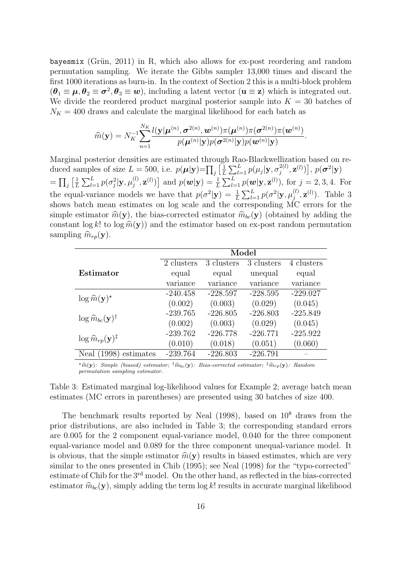bayesmix (Grün, 2011) in R, which also allows for ex-post reordering and random permutation sampling. We iterate the Gibbs sampler 13,000 times and discard the first 1000 iterations as burn-in. In the context of Section 2 this is a multi-block problem  $(\theta_1 \equiv \mu, \theta_2 \equiv \sigma^2, \theta_3 \equiv w)$ , including a latent vector  $(u \equiv z)$  which is integrated out. We divide the reordered product marginal posterior sample into  $K = 30$  batches of  $N_K = 400$  draws and calculate the marginal likelihood for each batch as

$$
\widehat{m}(\mathbf{y}) = N_K^{-1} \sum_{n=1}^{N_K} \frac{l(\mathbf{y}|\boldsymbol{\mu}^{(n)}, \boldsymbol{\sigma}^{2(n)}, \boldsymbol{w}^{(n)})\pi(\boldsymbol{\mu}^{(n)})\pi(\boldsymbol{\sigma}^{2(n)})\pi(\boldsymbol{w}^{(n)})}{p(\boldsymbol{\mu}^{(n)}|\mathbf{y})p(\boldsymbol{\sigma}^{2(n)}|\mathbf{y})p(\boldsymbol{w}^{(n)}|\mathbf{y})}.
$$

Marginal posterior densities are estimated through Rao-Blackwellization based on reduced samples of size  $L = 500$ , i.e.  $p(\mu|\mathbf{y}) = \prod_j \left[\frac{1}{L}\right]$  $\frac{1}{L}\sum_{l=1}^L p(\mu_j|\mathbf{y},\sigma_j^{2(l)})$  $\left[p^{2(l)},\mathbf{z}^{(l)}\right]\hspace{-0.2em},\, p(\boldsymbol{\sigma}^{2}|\mathbf{y})$  $= \prod_j \left[ \frac{1}{L} \right]$  $\frac{1}{L}\sum_{l=1}^L p(\sigma_j^2|\mathbf{y},\mu_j^{(l)})$  $\mathbf{z}_{j}^{(l)},\mathbf{z}^{(l)})$  and  $p(\mathbf{w}|\mathbf{y}) = \frac{1}{L} \sum_{l=1}^{L} p(\mathbf{w}|\mathbf{y},\mathbf{z}^{(l)}),$  for  $j = 2,3,4$ . For the equal-variance models we have that  $p(\sigma^2|\mathbf{y}) = \frac{1}{L} \sum_{l=1}^{L} p(\sigma^2|\mathbf{y}, \mu_j^{(l)})$  $j^{(l)}_j, \mathbf{z}^{(l)}$ ). Table 3 shows batch mean estimates on log scale and the corresponding MC errors for the simple estimator  $\hat{m}(\mathbf{y})$ , the bias-corrected estimator  $\hat{m}_{bc}(\mathbf{y})$  (obtained by adding the constant  $\log k!$  to  $\log \hat{m}(\mathbf{y})$  and the estimator based on ex-post random permutation sampling  $\widehat{m}_{rp}(\mathbf{y})$ .

|                                                | Model      |            |            |                         |  |
|------------------------------------------------|------------|------------|------------|-------------------------|--|
|                                                | 2 clusters | 3 clusters | 3 clusters | $\overline{4}$ clusters |  |
| Estimator                                      | equal      | equal      | unequal    | equal                   |  |
|                                                | variance   | variance   | variance   | variance                |  |
| $\log \widehat{m}(\mathbf{y})^{\star}$         | $-240.458$ | $-228.597$ | $-228.595$ | $-229.027$              |  |
|                                                | (0.002)    | (0.003)    | (0.029)    | (0.045)                 |  |
| $\log \widehat{m}_{bc}(\mathbf{y})^{\dagger}$  | $-239.765$ | $-226.805$ | $-226.803$ | $-225.849$              |  |
|                                                | (0.002)    | (0.003)    | (0.029)    | (0.045)                 |  |
| $\log \widehat{m}_{rp}(\mathbf{y})^{\ddagger}$ | $-239.762$ | $-226.778$ | $-226.771$ | $-225.922$              |  |
|                                                | (0.010)    | (0.018)    | (0.051)    | (0.060)                 |  |
| (1998)<br>estimates<br>Neal                    | $-239.764$ | $-226.803$ | $-226.791$ |                         |  |

<sup>\*</sup> $\hat{m}$ (y): Simple (biased) estimator; <sup>†</sup> $\hat{m}_{bc}$ (y): Bias-corrected estimator; <sup>†</sup> $\hat{m}_{rp}(y)$ : Random permutation sampling estimator.

Table 3: Estimated marginal log-likelihood values for Example 2; average batch mean estimates (MC errors in parentheses) are presented using 30 batches of size 400.

The benchmark results reported by Neal  $(1998)$ , based on  $10<sup>8</sup>$  draws from the prior distributions, are also included in Table 3; the corresponding standard errors are 0.005 for the 2 component equal-variance model, 0.040 for the three component equal-variance model and 0.089 for the three component unequal-variance model. It is obvious, that the simple estimator  $\hat{m}(\mathbf{y})$  results in biased estimates, which are very similar to the ones presented in Chib (1995); see Neal (1998) for the "typo-corrected" estimate of Chib for the 3rd model. On the other hand, as reflected in the bias-corrected estimator  $\hat{m}_{bc}(\mathbf{y})$ , simply adding the term log k! results in accurate marginal likelihood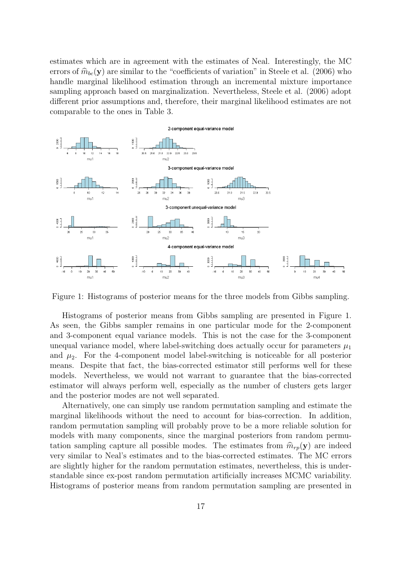estimates which are in agreement with the estimates of Neal. Interestingly, the MC errors of  $\hat{m}_{bc}(\mathbf{y})$  are similar to the "coefficients of variation" in Steele et al. (2006) who handle marginal likelihood estimation through an incremental mixture importance sampling approach based on marginalization. Nevertheless, Steele et al. (2006) adopt different prior assumptions and, therefore, their marginal likelihood estimates are not comparable to the ones in Table 3.



Figure 1: Histograms of posterior means for the three models from Gibbs sampling.

Histograms of posterior means from Gibbs sampling are presented in Figure 1. As seen, the Gibbs sampler remains in one particular mode for the 2-component and 3-component equal variance models. This is not the case for the 3-component unequal variance model, where label-switching does actually occur for parameters  $\mu_1$ and  $\mu_2$ . For the 4-component model label-switching is noticeable for all posterior means. Despite that fact, the bias-corrected estimator still performs well for these models. Nevertheless, we would not warrant to guarantee that the bias-corrected estimator will always perform well, especially as the number of clusters gets larger and the posterior modes are not well separated.

Alternatively, one can simply use random permutation sampling and estimate the marginal likelihoods without the need to account for bias-correction. In addition, random permutation sampling will probably prove to be a more reliable solution for models with many components, since the marginal posteriors from random permutation sampling capture all possible modes. The estimates from  $\hat{m}_{rp}(\mathbf{y})$  are indeed very similar to Neal's estimates and to the bias-corrected estimates. The MC errors are slightly higher for the random permutation estimates, nevertheless, this is understandable since ex-post random permutation artificially increases MCMC variability. Histograms of posterior means from random permutation sampling are presented in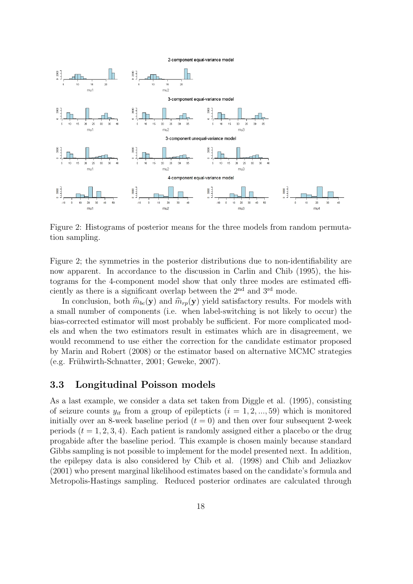2-component equal-variance model



Figure 2: Histograms of posterior means for the three models from random permutation sampling.

Figure 2; the symmetries in the posterior distributions due to non-identifiability are now apparent. In accordance to the discussion in Carlin and Chib (1995), the histograms for the 4-component model show that only three modes are estimated efficiently as there is a significant overlap between the 2nd and 3rd mode.

In conclusion, both  $\hat{m}_{bc}(\mathbf{y})$  and  $\hat{m}_{rp}(\mathbf{y})$  yield satisfactory results. For models with a small number of components (i.e. when label-switching is not likely to occur) the bias-corrected estimator will most probably be sufficient. For more complicated models and when the two estimators result in estimates which are in disagreement, we would recommend to use either the correction for the candidate estimator proposed by Marin and Robert (2008) or the estimator based on alternative MCMC strategies  $(e.g.$  Frühwirth-Schnatter, 2001; Geweke, 2007).

#### 3.3 Longitudinal Poisson models

As a last example, we consider a data set taken from Diggle et al. (1995), consisting of seizure counts  $y_{it}$  from a group of epilepticts  $(i = 1, 2, ..., 59)$  which is monitored initially over an 8-week baseline period  $(t = 0)$  and then over four subsequent 2-week periods  $(t = 1, 2, 3, 4)$ . Each patient is randomly assigned either a placebo or the drug progabide after the baseline period. This example is chosen mainly because standard Gibbs sampling is not possible to implement for the model presented next. In addition, the epilepsy data is also considered by Chib et al. (1998) and Chib and Jeliazkov (2001) who present marginal likelihood estimates based on the candidate's formula and Metropolis-Hastings sampling. Reduced posterior ordinates are calculated through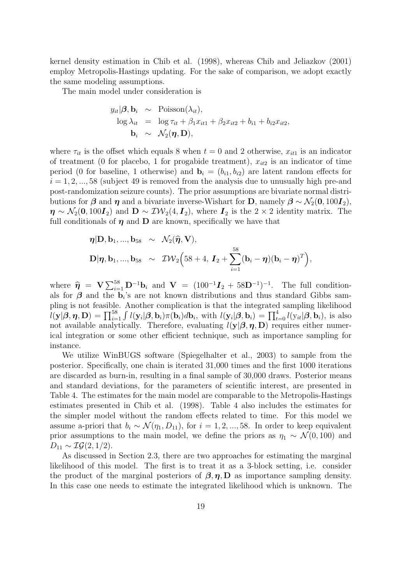kernel density estimation in Chib et al. (1998), whereas Chib and Jeliazkov (2001) employ Metropolis-Hastings updating. For the sake of comparison, we adopt exactly the same modeling assumptions.

The main model under consideration is

$$
y_{it}|\boldsymbol{\beta}, \mathbf{b}_i \sim \text{Poisson}(\lambda_{it}),
$$
  
\n
$$
\log \lambda_{it} = \log \tau_{it} + \beta_1 x_{it1} + \beta_2 x_{it2} + b_{i1} + b_{i2} x_{it2},
$$
  
\n
$$
\mathbf{b}_i \sim \mathcal{N}_2(\boldsymbol{\eta}, \mathbf{D}),
$$

where  $\tau_{it}$  is the offset which equals 8 when  $t = 0$  and 2 otherwise,  $x_{it1}$  is an indicator of treatment (0 for placebo, 1 for progabide treatment),  $x_{it2}$  is an indicator of time period (0 for baseline, 1 otherwise) and  $\mathbf{b}_i = (b_{i1}, b_{i2})$  are latent random effects for  $i = 1, 2, ..., 58$  (subject 49 is removed from the analysis due to unusually high pre-and post-randomization seizure counts). The prior assumptions are bivariate normal distributions for  $\beta$  and  $\eta$  and a bivariate inverse-Wishart for **D**, namely  $\beta \sim \mathcal{N}_2(0, 100I_2)$ ,  $\eta \sim \mathcal{N}_2(0, 100I_2)$  and  $\mathbf{D} \sim \mathcal{IW}_2(4, I_2)$ , where  $I_2$  is the 2 × 2 identity matrix. The full conditionals of  $\eta$  and  $D$  are known, specifically we have that

$$
\eta | D, b_1, ..., b_{58} \sim \mathcal{N}_2(\widehat{\eta}, V),
$$
  
 
$$
D | \eta, b_1, ..., b_{58} \sim \mathcal{IW}_2(58 + 4, I_2 + \sum_{i=1}^{58} (b_i - \eta)(b_i - \eta)^T),
$$

where  $\hat{\mathbf{\eta}} = \mathbf{V} \sum_{i=1}^{58} \mathbf{D}^{-1} \mathbf{b}_i$  and  $\mathbf{V} = (100^{-1} \mathbf{I}_2 + 58 \mathbf{D}^{-1})^{-1}$ . The full conditionals for  $\beta$  and the  $b_i$ 's are not known distributions and thus standard Gibbs sampling is not feasible. Another complication is that the integrated sampling likelihood  $l(\mathbf{y}|\boldsymbol{\beta}, \boldsymbol{\eta}, \mathbf{D}) = \prod_{i=1}^{58} \int l(\mathbf{y}_i|\boldsymbol{\beta}, \mathbf{b}_i) \pi(\mathbf{b}_i) d\mathbf{b}_i$ , with  $l(\mathbf{y}_i|\boldsymbol{\beta}, \mathbf{b}_i) = \prod_{t=0}^{4} l(\mathbf{y}_{it}|\boldsymbol{\beta}, \mathbf{b}_i)$ , is also not available analytically. Therefore, evaluating  $l(\mathbf{y}|\boldsymbol{\beta}, \boldsymbol{\eta}, \mathbf{D})$  requires either numerical integration or some other efficient technique, such as importance sampling for instance.

We utilize WinBUGS software (Spiegelhalter et al., 2003) to sample from the posterior. Specifically, one chain is iterated 31,000 times and the first 1000 iterations are discarded as burn-in, resulting in a final sample of 30,000 draws. Posterior means and standard deviations, for the parameters of scientific interest, are presented in Table 4. The estimates for the main model are comparable to the Metropolis-Hastings estimates presented in Chib et al. (1998). Table 4 also includes the estimates for the simpler model without the random effects related to time. For this model we assume a-priori that  $b_i \sim \mathcal{N}(\eta_1, D_{11})$ , for  $i = 1, 2, ..., 58$ . In order to keep equivalent prior assumptions to the main model, we define the priors as  $\eta_1 \sim \mathcal{N}(0, 100)$  and  $D_{11} \sim \mathcal{IG}(2, 1/2).$ 

As discussed in Section 2.3, there are two approaches for estimating the marginal likelihood of this model. The first is to treat it as a 3-block setting, i.e. consider the product of the marginal posteriors of  $\beta$ ,  $\eta$ , D as importance sampling density. In this case one needs to estimate the integrated likelihood which is unknown. The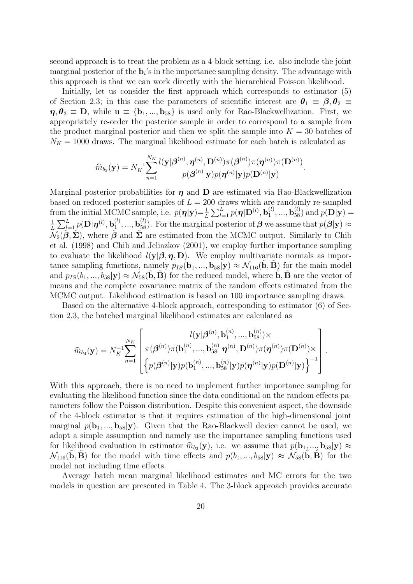second approach is to treat the problem as a 4-block setting, i.e. also include the joint marginal posterior of the  $\mathbf{b}_i$ 's in the importance sampling density. The advantage with this approach is that we can work directly with the hierarchical Poisson likelihood.

Initially, let us consider the first approach which corresponds to estimator  $(5)$ of Section 2.3; in this case the parameters of scientific interest are  $\theta_1 \equiv \beta, \theta_2 \equiv$  $\eta, \theta_3 \equiv D$ , while  $\mathbf{u} \equiv \{\mathbf{b}_1, ..., \mathbf{b}_{58}\}\$ is used only for Rao-Blackwellization. First, we appropriately re-order the posterior sample in order to correspond to a sample from the product marginal posterior and then we split the sample into  $K = 30$  batches of  $N_K = 1000$  draws. The marginal likelihood estimate for each batch is calculated as

$$
\widehat{m}_{b_3}(\mathbf{y}) = N_K^{-1} \sum_{n=1}^{N_K} \frac{l(\mathbf{y}|\boldsymbol{\beta}^{(n)}, \boldsymbol{\eta}^{(n)}, \mathbf{D}^{(n)})\pi(\boldsymbol{\beta}^{(n)})\pi(\boldsymbol{\eta}^{(n)})\pi(\mathbf{D}^{(n)})}{p(\boldsymbol{\beta}^{(n)}|\mathbf{y})p(\boldsymbol{\eta}^{(n)}|\mathbf{y})p(\mathbf{D}^{(n)}|\mathbf{y})}.
$$

Marginal posterior probabilities for  $\eta$  and  $D$  are estimated via Rao-Blackwellization based on reduced posterior samples of  $L = 200$  draws which are randomly re-sampled from the initial MCMC sample, i.e.  $p(\boldsymbol{\eta}|\mathbf{y}) = \frac{1}{L} \sum_{l=1}^{L} p(\boldsymbol{\eta}|\mathbf{D}^{(l)}, \mathbf{b}_1^{(l)})$  $\mathbf{b}_1^{(l)},...,\mathbf{b}_{58}^{(l)})$  and  $p(\mathbf{D}|\mathbf{y})=$ 1  $\frac{1}{L}\sum_{l=1}^L p(\mathbf{D}|\boldsymbol{\eta}^{(l)},\mathbf{b}_1^{(l)})$  $\mathbf{b}_1^{(l)},...,\mathbf{b}_{58}^{(l)}$ ). For the marginal posterior of  $\boldsymbol{\beta}$  we assume that  $p(\boldsymbol{\beta}|\mathbf{y}) \approx$  $\mathcal{N}_2(\tilde{\boldsymbol{\beta}}, \tilde{\boldsymbol{\Sigma}})$ , where  $\tilde{\boldsymbol{\beta}}$  and  $\tilde{\boldsymbol{\Sigma}}$  are estimated from the MCMC output. Similarly to Chib et al. (1998) and Chib and Jeliazkov (2001), we employ further importance sampling to evaluate the likelihood  $l(y|\beta, \eta, D)$ . We employ multivariate normals as importance sampling functions, namely  $p_{IS}(\mathbf{b}_1, ..., \mathbf{b}_{58}|\mathbf{y}) \approx \mathcal{N}_{116}(\mathbf{b}, \mathbf{B})$  for the main model and  $p_{IS}(b_1, ..., b_{58}|\mathbf{y}) \approx \mathcal{N}_{58}(\mathbf{b}, \mathbf{B})$  for the reduced model, where **b**, **B** are the vector of means and the complete covariance matrix of the random effects estimated from the MCMC output. Likelihood estimation is based on 100 importance sampling draws.

Based on the alternative 4-block approach, corresponding to estimator (6) of Section 2.3, the batched marginal likelihood estimates are calculated as

$$
\widehat{m}_{b_{4}}(\mathbf{y}) = N_{K}^{-1} \!\sum_{n=1}^{N_{K}}\left[\frac{l(\mathbf{y}|\boldsymbol{\beta}^{(n)}, \mathbf{b}_{1}^{(n)},...,\mathbf{b}_{58}^{(n)})\times}{\pi(\boldsymbol{\beta}^{(n)})\pi(\mathbf{b}_{1}^{(n)},...,\mathbf{b}_{58}^{(n)}|\boldsymbol{\eta}^{(n)},\mathbf{D}^{(n)})\pi(\boldsymbol{\eta}^{(n)})\pi(\mathbf{D}^{(n)})\times} \right]\!\left[\left\{p(\boldsymbol{\beta}^{(n)}|\mathbf{y})p(\mathbf{b}_{1}^{(n)},...,\mathbf{b}_{58}^{(n)}|\mathbf{y})p(\boldsymbol{\eta}^{(n)}|\mathbf{y})p(\mathbf{D}^{(n)}|\mathbf{y})\right\}^{-1}\right]
$$

.

With this approach, there is no need to implement further importance sampling for evaluating the likelihood function since the data conditional on the random effects parameters follow the Poisson distribution. Despite this convenient aspect, the downside of the 4-block estimator is that it requires estimation of the high-dimensional joint marginal  $p(\mathbf{b}_1, ..., \mathbf{b}_{58}|\mathbf{y})$ . Given that the Rao-Blackwell device cannot be used, we adopt a simple assumption and namely use the importance sampling functions used for likelihood evaluation in estimator  $\hat{m}_{b_3}(\mathbf{y})$ , i.e. we assume that  $p(\mathbf{b}_1, ..., \mathbf{b}_{58}|\mathbf{y}) \approx$ <br> $N_c(\tilde{\mathbf{b}}, \tilde{\mathbf{B}})$  for the model with time effects and  $p(b_1, b_2|\mathbf{y}) \approx N_c(\tilde{\mathbf{b}}, \tilde{\mathbf{B}})$  for the  $\mathcal{N}_{116}(\tilde{\mathbf{b}}, \tilde{\mathbf{B}})$  for the model with time effects and  $p(b_1, ..., b_{58}|\mathbf{y}) \approx \mathcal{N}_{58}(\tilde{\mathbf{b}}, \tilde{\mathbf{B}})$  for the model not including time effects.

Average batch mean marginal likelihood estimates and MC errors for the two models in question are presented in Table 4. The 3-block approach provides accurate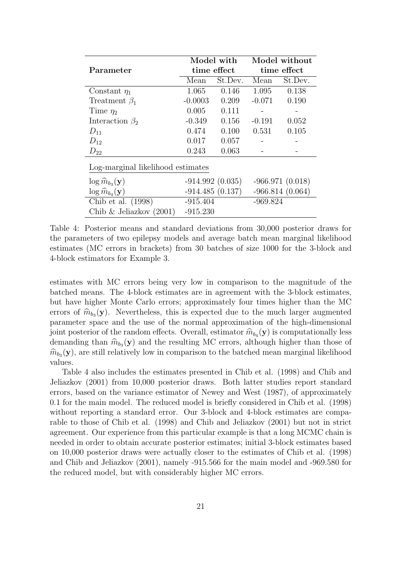|                                      |             | Model with        | Model without |                   |  |
|--------------------------------------|-------------|-------------------|---------------|-------------------|--|
| Parameter                            | time effect |                   | time effect   |                   |  |
|                                      | Mean        | St.Dev.           | Mean          | St.Dev.           |  |
| Constant $\eta_1$                    | 1.065       | 0.146             | 1.095         | 0.138             |  |
| Treatment $\beta_1$                  | $-0.0003$   | 0.209             | $-0.071$      | 0.190             |  |
| Time $\eta_2$                        | 0.005       | 0.111             |               |                   |  |
| Interaction $\beta_2$                | $-0.349$    | 0.156             | $-0.191$      | 0.052             |  |
| $D_{11}$                             | 0.474       | 0.100             | 0.531         | 0.105             |  |
| $D_{12}$                             | 0.017       | 0.057             |               |                   |  |
| $D_{22}$                             | 0.243       | 0.063             |               |                   |  |
| Log-marginal likelihood estimates    |             |                   |               |                   |  |
| $\log \widehat{m}_{b_3}(\mathbf{y})$ |             | $-914.992(0.035)$ |               | $-966.971(0.018)$ |  |
| $\log \widehat{m}_{b_4}(\mathbf{y})$ |             | $-914.485(0.137)$ |               | $-966.814(0.064)$ |  |
| Chib et al. (1998)                   | $-915.404$  |                   | $-969.824$    |                   |  |
| Chib $\&$ Jeliazkov (2001)           | $-915.230$  |                   |               |                   |  |

Table 4: Posterior means and standard deviations from 30,000 posterior draws for the parameters of two epilepsy models and average batch mean marginal likelihood estimates (MC errors in brackets) from 30 batches of size 1000 for the 3-block and 4-block estimators for Example 3.

estimates with MC errors being very low in comparison to the magnitude of the batched means. The 4-block estimates are in agreement with the 3-block estimates, but have higher Monte Carlo errors; approximately four times higher than the MC errors of  $\hat{m}_{b_3}(\mathbf{y})$ . Nevertheless, this is expected due to the much larger augmented<br>parameter space and the use of the permal approximation of the high dimensional parameter space and the use of the normal approximation of the high-dimensional joint posterior of the random effects. Overall, estimator  $\hat{m}_{b_4}(\mathbf{y})$  is computationally less<br>domanding than  $\hat{m}_{b_4}(\mathbf{y})$  and the resulting MC errors, although higher than these of demanding than  $\hat{m}_{b_3}(\mathbf{y})$  and the resulting MC errors, although higher than those of  $\hat{m}_{b_3}(\mathbf{y})$  are still relatively lew in comparison to the batched mean marginal likelihood  $\hat{m}_{b_3}(\mathbf{y})$ , are still relatively low in comparison to the batched mean marginal likelihood values.

Table 4 also includes the estimates presented in Chib et al. (1998) and Chib and Jeliazkov (2001) from 10,000 posterior draws. Both latter studies report standard errors, based on the variance estimator of Newey and West (1987), of approximately 0.1 for the main model. The reduced model is briefly considered in Chib et al. (1998) without reporting a standard error. Our 3-block and 4-block estimates are comparable to those of Chib et al. (1998) and Chib and Jeliazkov (2001) but not in strict agreement. Our experience from this particular example is that a long MCMC chain is needed in order to obtain accurate posterior estimates; initial 3-block estimates based on 10,000 posterior draws were actually closer to the estimates of Chib et al. (1998) and Chib and Jeliazkov (2001), namely -915.566 for the main model and -969.580 for the reduced model, but with considerably higher MC errors.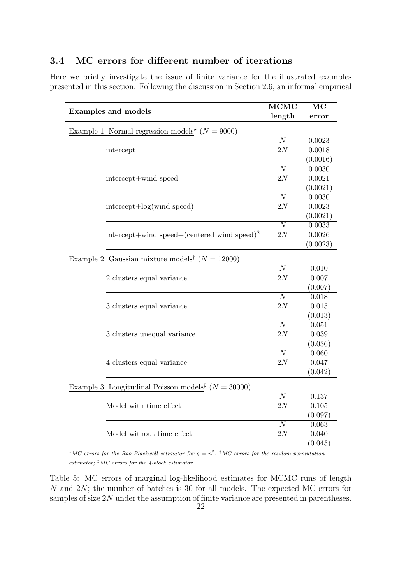### 3.4 MC errors for different number of iterations

Here we briefly investigate the issue of finite variance for the illustrated examples presented in this section. Following the discussion in Section 2.6, an informal empirical

|                                                                     | $\overline{\text{MCMC}}$ | MC       |
|---------------------------------------------------------------------|--------------------------|----------|
| <b>Examples and models</b>                                          | length                   | error    |
| Example 1: Normal regression models <sup>*</sup> ( $N = 9000$ )     |                          |          |
|                                                                     | $\cal N$                 | 0.0023   |
| intercept                                                           | 2N                       | 0.0018   |
|                                                                     |                          | (0.0016) |
|                                                                     | $\overline{N}$           | 0.0030   |
| intercept+wind speed                                                | $2{\cal N}$              | 0.0021   |
|                                                                     |                          | (0.0021) |
|                                                                     | $\overline{N}$           | 0.0030   |
| intercept+log(wind speed)                                           | $2{\cal N}$              | 0.0023   |
|                                                                     |                          | (0.0021) |
|                                                                     | $\overline{N}$           | 0.0033   |
| intercept+wind speed+(centered wind speed) <sup>2</sup>             | $2{\cal N}$              | 0.0026   |
|                                                                     |                          | (0.0023) |
|                                                                     |                          |          |
| Example 2: Gaussian mixture models <sup>†</sup> ( $N = 12000$ )     |                          |          |
|                                                                     | $\cal N$                 | 0.010    |
| 2 clusters equal variance                                           | 2N                       | 0.007    |
|                                                                     |                          | (0.007)  |
|                                                                     | $\overline{N}$           | 0.018    |
| 3 clusters equal variance                                           | 2N                       | 0.015    |
|                                                                     |                          | (0.013)  |
|                                                                     | $\overline{N}$           | 0.051    |
| 3 clusters unequal variance                                         | 2N                       | 0.039    |
|                                                                     |                          | (0.036)  |
|                                                                     | $\overline{N}$           | 0.060    |
| 4 clusters equal variance                                           | 2N                       | 0.047    |
|                                                                     |                          | (0.042)  |
| Example 3: Longitudinal Poisson models <sup>‡</sup> ( $N = 30000$ ) |                          |          |
|                                                                     | $\cal N$                 | 0.137    |
| Model with time effect                                              | $2{\cal N}$              | 0.105    |
|                                                                     |                          | (0.097)  |
|                                                                     | $\overline{N}$           | 0.063    |
| Model without time effect                                           | $2{\cal N}$              | 0.040    |
|                                                                     |                          | (0.045)  |

\*MC errors for the Rao-Blackwell estimator for  $g = n^2$ ; <sup>†</sup>MC errors for the random permutation estimator;  $\frac{1}{4}MC$  errors for the 4-block estimator

Table 5: MC errors of marginal log-likelihood estimates for MCMC runs of length N and 2N; the number of batches is 30 for all models. The expected MC errors for samples of size 2N under the assumption of finite variance are presented in parentheses.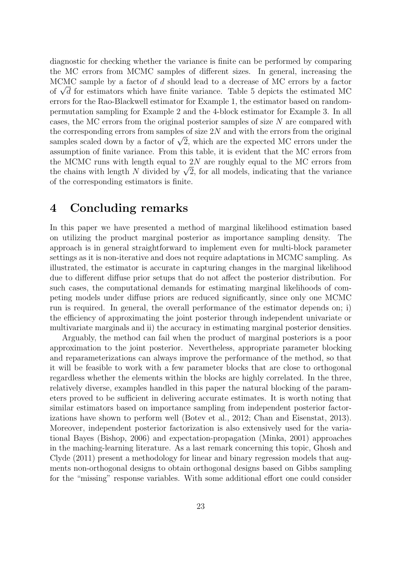diagnostic for checking whether the variance is finite can be performed by comparing the MC errors from MCMC samples of different sizes. In general, increasing the MCMC sample by a factor of d should lead to a decrease of MC errors by a factor MCMC sample by a factor of a should lead to a decrease of MC errors by a factor<br>of  $\sqrt{d}$  for estimators which have finite variance. Table 5 depicts the estimated MC errors for the Rao-Blackwell estimator for Example 1, the estimator based on randompermutation sampling for Example 2 and the 4-block estimator for Example 3. In all cases, the MC errors from the original posterior samples of size N are compared with the corresponding errors from samples of size  $2N$  and with the errors from the original the corresponding errors from samples of size  $2N$  and with the errors from the original samples scaled down by a factor of  $\sqrt{2}$ , which are the expected MC errors under the assumption of finite variance. From this table, it is evident that the MC errors from the MCMC runs with length equal to  $2N$  are roughly equal to the MC errors from the MCMC runs with length equal to  $2N$  are roughly equal to the MC errors from<br>the chains with length N divided by  $\sqrt{2}$ , for all models, indicating that the variance of the corresponding estimators is finite.

### 4 Concluding remarks

In this paper we have presented a method of marginal likelihood estimation based on utilizing the product marginal posterior as importance sampling density. The approach is in general straightforward to implement even for multi-block parameter settings as it is non-iterative and does not require adaptations in MCMC sampling. As illustrated, the estimator is accurate in capturing changes in the marginal likelihood due to different diffuse prior setups that do not affect the posterior distribution. For such cases, the computational demands for estimating marginal likelihoods of competing models under diffuse priors are reduced significantly, since only one MCMC run is required. In general, the overall performance of the estimator depends on; i) the efficiency of approximating the joint posterior through independent univariate or multivariate marginals and ii) the accuracy in estimating marginal posterior densities.

Arguably, the method can fail when the product of marginal posteriors is a poor approximation to the joint posterior. Nevertheless, appropriate parameter blocking and reparameterizations can always improve the performance of the method, so that it will be feasible to work with a few parameter blocks that are close to orthogonal regardless whether the elements within the blocks are highly correlated. In the three, relatively diverse, examples handled in this paper the natural blocking of the parameters proved to be sufficient in delivering accurate estimates. It is worth noting that similar estimators based on importance sampling from independent posterior factorizations have shown to perform well (Botev et al., 2012; Chan and Eisenstat, 2013). Moreover, independent posterior factorization is also extensively used for the variational Bayes (Bishop, 2006) and expectation-propagation (Minka, 2001) approaches in the maching-learning literature. As a last remark concerning this topic, Ghosh and Clyde (2011) present a methodology for linear and binary regression models that augments non-orthogonal designs to obtain orthogonal designs based on Gibbs sampling for the "missing" response variables. With some additional effort one could consider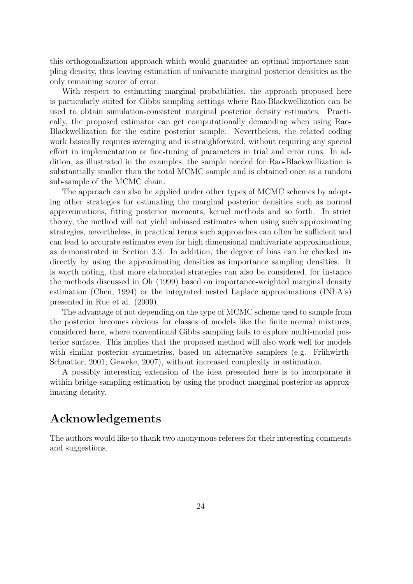this orthogonalization approach which would guarantee an optimal importance sampling density, thus leaving estimation of univariate marginal posterior densities as the only remaining source of error.

With respect to estimating marginal probabilities, the approach proposed here is particularly suited for Gibbs sampling settings where Rao-Blackwellization can be used to obtain simulation-consistent marginal posterior density estimates. Practically, the proposed estimator can get computationally demanding when using Rao-Blackwellization for the entire posterior sample. Nevertheless, the related coding work basically requires averaging and is straighforward, without requiring any special effort in implementation or fine-tuning of parameters in trial and error runs. In addition, as illustrated in the examples, the sample needed for Rao-Blackwellization is substantially smaller than the total MCMC sample and is obtained once as a random sub-sample of the MCMC chain.

The approach can also be applied under other types of MCMC schemes by adopting other strategies for estimating the marginal posterior densities such as normal approximations, fitting posterior moments, kernel methods and so forth. In strict theory, the method will not yield unbiased estimates when using such approximating strategies, nevertheless, in practical terms such approaches can often be sufficient and can lead to accurate estimates even for high dimensional multivariate approximations, as demonstrated in Section 3.3. In addition, the degree of bias can be checked indirectly by using the approximating densities as importance sampling densities. It is worth noting, that more elaborated strategies can also be considered, for instance the methods discussed in Oh (1999) based on importance-weighted marginal density estimation (Chen, 1994) or the integrated nested Laplace approximations (INLA's) presented in Rue et al. (2009).

The advantage of not depending on the type of MCMC scheme used to sample from the posterior becomes obvious for classes of models like the finite normal mixtures, considered here, where conventional Gibbs sampling fails to explore multi-modal posterior surfaces. This implies that the proposed method will also work well for models with similar posterior symmetries, based on alternative samplers (e.g. Frühwirth-Schnatter, 2001; Geweke, 2007), without increased complexity in estimation.

A possibly interesting extension of the idea presented here is to incorporate it within bridge-sampling estimation by using the product marginal posterior as approximating density.

# Acknowledgements

The authors would like to thank two anonymous referees for their interesting comments and suggestions.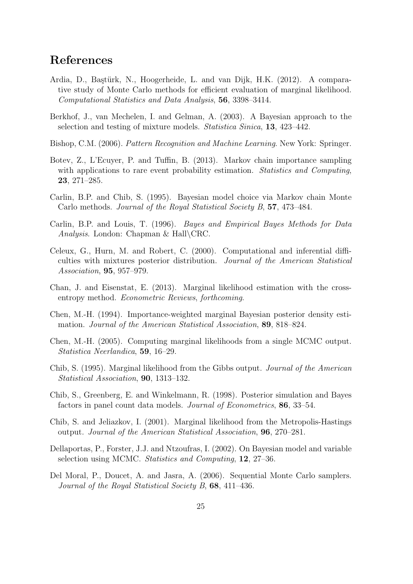## References

- Ardia, D., Bastürk, N., Hoogerheide, L. and van Dijk, H.K. (2012). A comparative study of Monte Carlo methods for efficient evaluation of marginal likelihood. Computational Statistics and Data Analysis, 56, 3398–3414.
- Berkhof, J., van Mechelen, I. and Gelman, A. (2003). A Bayesian approach to the selection and testing of mixture models. Statistica Sinica, 13, 423–442.
- Bishop, C.M. (2006). Pattern Recognition and Machine Learning. New York: Springer.
- Botev, Z., L'Ecuyer, P. and Tuffin, B. (2013). Markov chain importance sampling with applications to rare event probability estimation. Statistics and Computing, 23, 271–285.
- Carlin, B.P. and Chib, S. (1995). Bayesian model choice via Markov chain Monte Carlo methods. Journal of the Royal Statistical Society B, 57, 473–484.
- Carlin, B.P. and Louis, T. (1996). Bayes and Empirical Bayes Methods for Data Analysis. London: Chapman & Hall\CRC.
- Celeux, G., Hurn, M. and Robert, C. (2000). Computational and inferential difficulties with mixtures posterior distribution. Journal of the American Statistical Association, 95, 957–979.
- Chan, J. and Eisenstat, E. (2013). Marginal likelihood estimation with the crossentropy method. Econometric Reviews, forthcoming.
- Chen, M.-H. (1994). Importance-weighted marginal Bayesian posterior density estimation. Journal of the American Statistical Association, 89, 818–824.
- Chen, M.-H. (2005). Computing marginal likelihoods from a single MCMC output. Statistica Neerlandica, 59, 16–29.
- Chib, S. (1995). Marginal likelihood from the Gibbs output. Journal of the American Statistical Association, 90, 1313–132.
- Chib, S., Greenberg, E. and Winkelmann, R. (1998). Posterior simulation and Bayes factors in panel count data models. Journal of Econometrics, 86, 33–54.
- Chib, S. and Jeliazkov, I. (2001). Marginal likelihood from the Metropolis-Hastings output. Journal of the American Statistical Association, 96, 270–281.
- Dellaportas, P., Forster, J.J. and Ntzoufras, I. (2002). On Bayesian model and variable selection using MCMC. Statistics and Computing, 12, 27–36.
- Del Moral, P., Doucet, A. and Jasra, A. (2006). Sequential Monte Carlo samplers. Journal of the Royal Statistical Society B, 68, 411–436.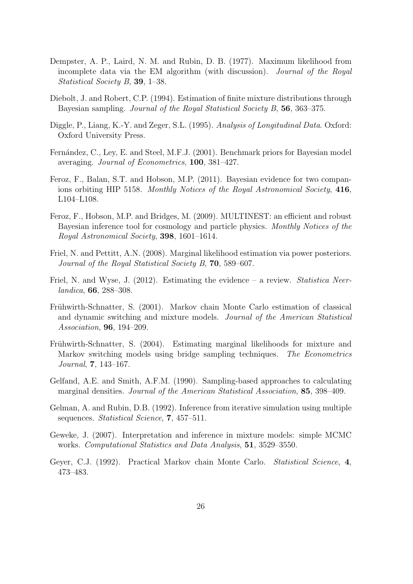- Dempster, A. P., Laird, N. M. and Rubin, D. B. (1977). Maximum likelihood from incomplete data via the EM algorithm (with discussion). Journal of the Royal Statistical Society B, 39, 1–38.
- Diebolt, J. and Robert, C.P. (1994). Estimation of finite mixture distributions through Bayesian sampling. Journal of the Royal Statistical Society B, 56, 363–375.
- Diggle, P., Liang, K.-Y. and Zeger, S.L. (1995). Analysis of Longitudinal Data. Oxford: Oxford University Press.
- Fernández, C., Ley, E. and Steel, M.F.J. (2001). Benchmark priors for Bayesian model averaging. Journal of Econometrics, 100, 381–427.
- Feroz, F., Balan, S.T. and Hobson, M.P. (2011). Bayesian evidence for two companions orbiting HIP 5158. Monthly Notices of the Royal Astronomical Society, 416, L104–L108.
- Feroz, F., Hobson, M.P. and Bridges, M. (2009). MULTINEST: an efficient and robust Bayesian inference tool for cosmology and particle physics. Monthly Notices of the Royal Astronomical Society, 398, 1601–1614.
- Friel, N. and Pettitt, A.N. (2008). Marginal likelihood estimation via power posteriors. Journal of the Royal Statistical Society B, 70, 589–607.
- Friel, N. and Wyse, J. (2012). Estimating the evidence a review. *Statistica Neer*landica, 66, 288–308.
- Frühwirth-Schnatter, S. (2001). Markov chain Monte Carlo estimation of classical and dynamic switching and mixture models. Journal of the American Statistical Association, 96, 194–209.
- Frühwirth-Schnatter, S. (2004). Estimating marginal likelihoods for mixture and Markov switching models using bridge sampling techniques. The Econometrics Journal, 7, 143–167.
- Gelfand, A.E. and Smith, A.F.M. (1990). Sampling-based approaches to calculating marginal densities. Journal of the American Statistical Association, 85, 398–409.
- Gelman, A. and Rubin, D.B. (1992). Inference from iterative simulation using multiple sequences. *Statistical Science*, **7**, 457–511.
- Geweke, J. (2007). Interpretation and inference in mixture models: simple MCMC works. Computational Statistics and Data Analysis, 51, 3529–3550.
- Geyer, C.J. (1992). Practical Markov chain Monte Carlo. Statistical Science, 4, 473–483.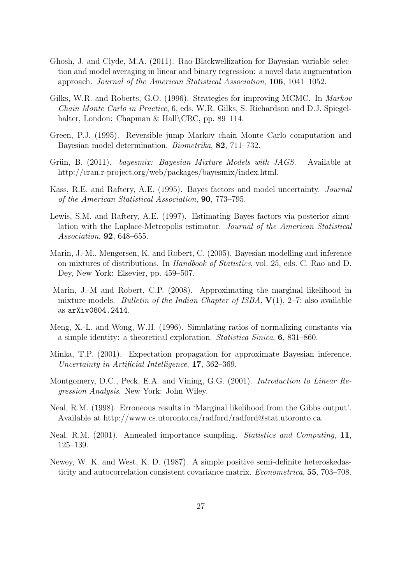- Ghosh, J. and Clyde, M.A. (2011). Rao-Blackwellization for Bayesian variable selection and model averaging in linear and binary regression: a novel data augmentation approach. Journal of the American Statistical Association, 106, 1041–1052.
- Gilks, W.R. and Roberts, G.O. (1996). Strategies for improving MCMC. In Markov Chain Monte Carlo in Practice, 6, eds. W.R. Gilks, S. Richardson and D.J. Spiegelhalter, London: Chapman & Hall\CRC, pp. 89–114.
- Green, P.J. (1995). Reversible jump Markov chain Monte Carlo computation and Bayesian model determination. Biometrika, 82, 711–732.
- Grün, B. (2011). bayesmix: Bayesian Mixture Models with JAGS. Available at http://cran.r-project.org/web/packages/bayesmix/index.html.
- Kass, R.E. and Raftery, A.E. (1995). Bayes factors and model uncertainty. Journal of the American Statistical Association, 90, 773–795.
- Lewis, S.M. and Raftery, A.E. (1997). Estimating Bayes factors via posterior simulation with the Laplace-Metropolis estimator. Journal of the American Statistical Association, 92, 648–655.
- Marin, J.-M., Mengersen, K. and Robert, C. (2005). Bayesian modelling and inference on mixtures of distributions. In Handbook of Statistics, vol. 25, eds. C. Rao and D. Dey, New York: Elsevier, pp. 459–507.
- Marin, J.-M and Robert, C.P. (2008). Approximating the marginal likelihood in mixture models. *Bulletin of the Indian Chapter of ISBA*,  $V(1)$ , 2–7; also available as arXiv0804.2414.
- Meng, X.-L. and Wong, W.H. (1996). Simulating ratios of normalizing constants via a simple identity: a theoretical exploration. Statistica Sinica, 6, 831–860.
- Minka, T.P. (2001). Expectation propagation for approximate Bayesian inference. Uncertainty in Artificial Intelligence, 17, 362–369.
- Montgomery, D.C., Peck, E.A. and Vining, G.G. (2001). Introduction to Linear Regression Analysis. New York: John Wiley.
- Neal, R.M. (1998). Erroneous results in 'Marginal likelihood from the Gibbs output'. Available at http://www.cs.utoronto.ca/radford/radford@stat.utoronto.ca.
- Neal, R.M. (2001). Annealed importance sampling. Statistics and Computing, 11, 125–139.
- Newey, W. K. and West, K. D. (1987). A simple positive semi-definite heteroskedasticity and autocorrelation consistent covariance matrix. Econometrica, 55, 703–708.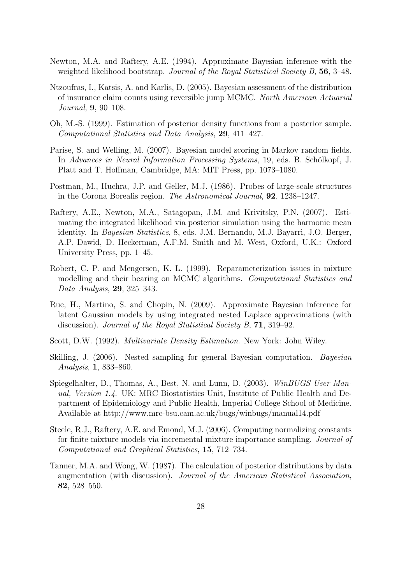- Newton, M.A. and Raftery, A.E. (1994). Approximate Bayesian inference with the weighted likelihood bootstrap. Journal of the Royal Statistical Society B, 56, 3-48.
- Ntzoufras, I., Katsis, A. and Karlis, D. (2005). Bayesian assessment of the distribution of insurance claim counts using reversible jump MCMC. North American Actuarial Journal, 9, 90–108.
- Oh, M.-S. (1999). Estimation of posterior density functions from a posterior sample. Computational Statistics and Data Analysis, 29, 411–427.
- Parise, S. and Welling, M. (2007). Bayesian model scoring in Markov random fields. In Advances in Neural Information Processing Systems, 19, eds. B. Schölkopf, J. Platt and T. Hoffman, Cambridge, MA: MIT Press, pp. 1073–1080.
- Postman, M., Huchra, J.P. and Geller, M.J. (1986). Probes of large-scale structures in the Corona Borealis region. The Astronomical Journal, 92, 1238–1247.
- Raftery, A.E., Newton, M.A., Satagopan, J.M. and Krivitsky, P.N. (2007). Estimating the integrated likelihood via posterior simulation using the harmonic mean identity. In Bayesian Statistics, 8, eds. J.M. Bernando, M.J. Bayarri, J.O. Berger, A.P. Dawid, D. Heckerman, A.F.M. Smith and M. West, Oxford, U.K.: Oxford University Press, pp. 1–45.
- Robert, C. P. and Mengersen, K. L. (1999). Reparameterization issues in mixture modelling and their bearing on MCMC algorithms. Computational Statistics and Data Analysis, 29, 325–343.
- Rue, H., Martino, S. and Chopin, N. (2009). Approximate Bayesian inference for latent Gaussian models by using integrated nested Laplace approximations (with discussion). *Journal of the Royal Statistical Society B*, **71**, 319–92.
- Scott, D.W. (1992). Multivariate Density Estimation. New York: John Wiley.
- Skilling, J. (2006). Nested sampling for general Bayesian computation. Bayesian Analysis, 1, 833–860.
- Spiegelhalter, D., Thomas, A., Best, N. and Lunn, D. (2003). WinBUGS User Manual, Version 1.4. UK: MRC Biostatistics Unit, Institute of Public Health and Department of Epidemiology and Public Health, Imperial College School of Medicine. Available at http://www.mrc-bsu.cam.ac.uk/bugs/winbugs/manual14.pdf
- Steele, R.J., Raftery, A.E. and Emond, M.J. (2006). Computing normalizing constants for finite mixture models via incremental mixture importance sampling. Journal of Computational and Graphical Statistics, 15, 712–734.
- Tanner, M.A. and Wong, W. (1987). The calculation of posterior distributions by data augmentation (with discussion). Journal of the American Statistical Association, 82, 528–550.